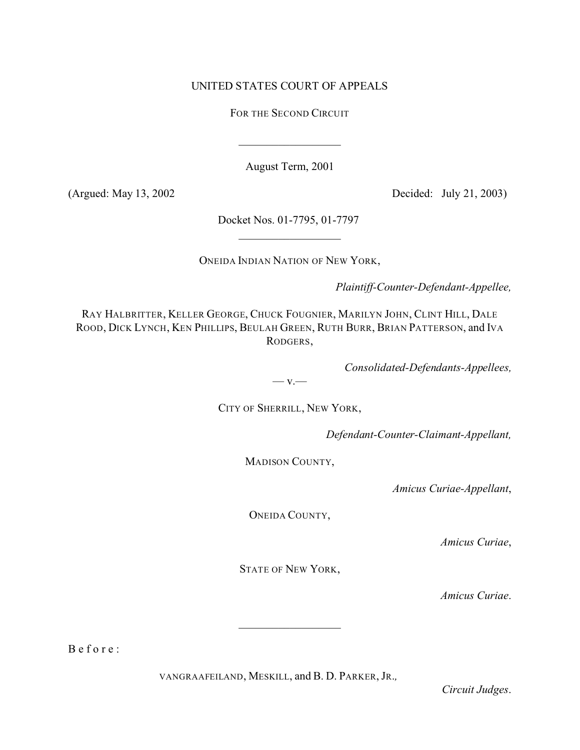# UNITED STATES COURT OF APPEALS

FOR THE SECOND CIRCUIT

 $\overline{\phantom{a}}$  , which is a set of the set of the set of the set of the set of the set of the set of the set of the set of the set of the set of the set of the set of the set of the set of the set of the set of the set of th

August Term, 2001

(Argued: May 13, 2002 Decided: July 21, 2003)

Docket Nos. 01-7795, 01-7797  $\overline{\phantom{a}}$  , which is a set of the set of the set of the set of the set of the set of the set of the set of the set of the set of the set of the set of the set of the set of the set of the set of the set of the set of th

ONEIDA INDIAN NATION OF NEW YORK,

*Plaintiff-Counter-Defendant-Appellee,*

RAY HALBRITTER, KELLER GEORGE, CHUCK FOUGNIER, MARILYN JOHN, CLINT HILL, DALE ROOD, DICK LYNCH, KEN PHILLIPS, BEULAH GREEN, RUTH BURR, BRIAN PATTERSON, and IVA RODGERS,

*Consolidated-Defendants-Appellees,*

 $-$  v.

CITY OF SHERRILL, NEW YORK,

*Defendant-Counter-Claimant-Appellant,*

MADISON COUNTY,

*Amicus Curiae-Appellant*,

ONEIDA COUNTY,

*Amicus Curiae*,

STATE OF NEW YORK,

*Amicus Curiae*.

B e f o r e :

VANGRAAFEILAND, MESKILL, and B. D. PARKER, JR.*,*

*Circuit Judges*.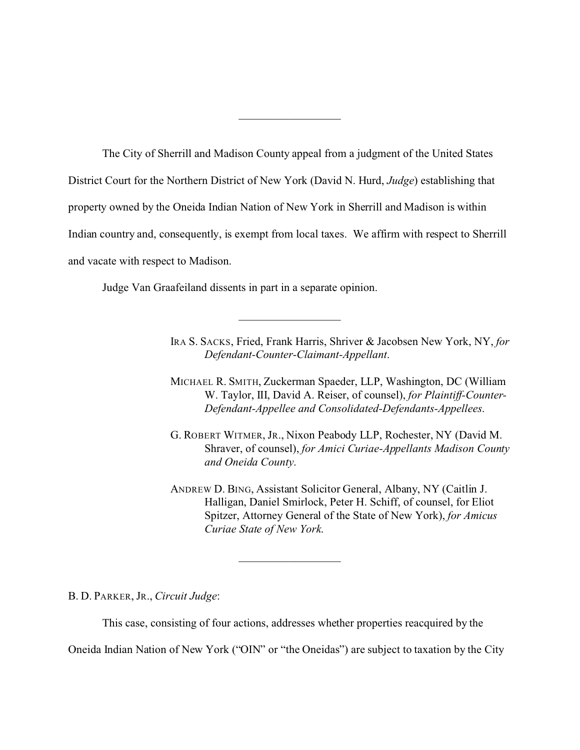The City of Sherrill and Madison County appeal from a judgment of the United States District Court for the Northern District of New York (David N. Hurd, *Judge*) establishing that property owned by the Oneida Indian Nation of New York in Sherrill and Madison is within Indian country and, consequently, is exempt from local taxes. We affirm with respect to Sherrill and vacate with respect to Madison.

 $\overline{\phantom{a}}$  , which is a set of the set of the set of the set of the set of the set of the set of the set of the set of the set of the set of the set of the set of the set of the set of the set of the set of the set of th

 $\overline{\phantom{a}}$  , which is a set of the set of the set of the set of the set of the set of the set of the set of the set of the set of the set of the set of the set of the set of the set of the set of the set of the set of th

Judge Van Graafeiland dissents in part in a separate opinion.

IRA S. SACKS, Fried, Frank Harris, Shriver & Jacobsen New York, NY, *for Defendant-Counter-Claimant-Appellant*.

- MICHAEL R. SMITH, Zuckerman Spaeder, LLP, Washington, DC (William W. Taylor, III, David A. Reiser, of counsel), *for Plaintiff-Counter-Defendant-Appellee and Consolidated-Defendants-Appellees*.
- G. ROBERT WITMER, JR., Nixon Peabody LLP, Rochester, NY (David M. Shraver, of counsel), *for Amici Curiae-Appellants Madison County and Oneida County*.
- ANDREW D. BING, Assistant Solicitor General, Albany, NY (Caitlin J. Halligan, Daniel Smirlock, Peter H. Schiff, of counsel, for Eliot Spitzer, Attorney General of the State of New York), *for Amicus Curiae State of New York*.

B. D. PARKER, JR., *Circuit Judge*:

This case, consisting of four actions, addresses whether properties reacquired by the

 $\overline{\phantom{a}}$  , which is a set of the set of the set of the set of the set of the set of the set of the set of the set of the set of the set of the set of the set of the set of the set of the set of the set of the set of th

Oneida Indian Nation of New York ("OIN" or "the Oneidas") are subject to taxation by the City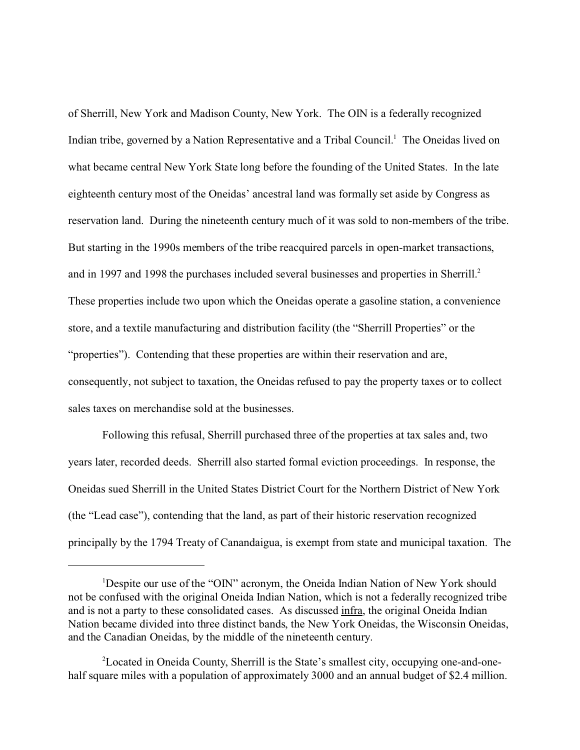of Sherrill, New York and Madison County, New York. The OIN is a federally recognized Indian tribe, governed by a Nation Representative and a Tribal Council.<sup>1</sup> The Oneidas lived on what became central New York State long before the founding of the United States. In the late eighteenth century most of the Oneidas' ancestral land was formally set aside by Congress as reservation land. During the nineteenth century much of it was sold to non-members of the tribe. But starting in the 1990s members of the tribe reacquired parcels in open-market transactions, and in 1997 and 1998 the purchases included several businesses and properties in Sherrill.<sup>2</sup> These properties include two upon which the Oneidas operate a gasoline station, a convenience store, and a textile manufacturing and distribution facility (the "Sherrill Properties" or the "properties"). Contending that these properties are within their reservation and are, consequently, not subject to taxation, the Oneidas refused to pay the property taxes or to collect sales taxes on merchandise sold at the businesses.

Following this refusal, Sherrill purchased three of the properties at tax sales and, two years later, recorded deeds. Sherrill also started formal eviction proceedings. In response, the Oneidas sued Sherrill in the United States District Court for the Northern District of New York (the "Lead case"), contending that the land, as part of their historic reservation recognized principally by the 1794 Treaty of Canandaigua, is exempt from state and municipal taxation. The

<sup>&</sup>lt;sup>1</sup>Despite our use of the "OIN" acronym, the Oneida Indian Nation of New York should not be confused with the original Oneida Indian Nation, which is not a federally recognized tribe and is not a party to these consolidated cases. As discussed infra, the original Oneida Indian Nation became divided into three distinct bands, the New York Oneidas, the Wisconsin Oneidas, and the Canadian Oneidas, by the middle of the nineteenth century.

<sup>2</sup>Located in Oneida County, Sherrill is the State's smallest city, occupying one-and-onehalf square miles with a population of approximately 3000 and an annual budget of \$2.4 million.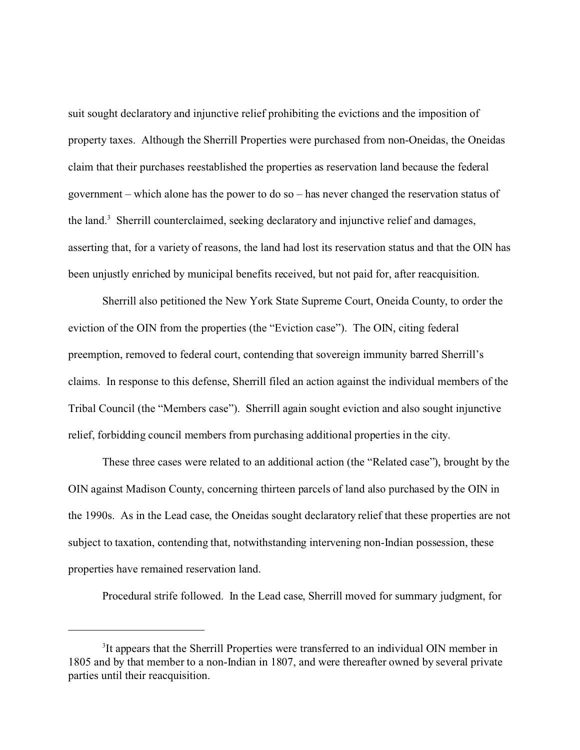suit sought declaratory and injunctive relief prohibiting the evictions and the imposition of property taxes. Although the Sherrill Properties were purchased from non-Oneidas, the Oneidas claim that their purchases reestablished the properties as reservation land because the federal government – which alone has the power to do so – has never changed the reservation status of the land.<sup>3</sup> Sherrill counterclaimed, seeking declaratory and injunctive relief and damages, asserting that, for a variety of reasons, the land had lost its reservation status and that the OIN has been unjustly enriched by municipal benefits received, but not paid for, after reacquisition.

Sherrill also petitioned the New York State Supreme Court, Oneida County, to order the eviction of the OIN from the properties (the "Eviction case"). The OIN, citing federal preemption, removed to federal court, contending that sovereign immunity barred Sherrill's claims. In response to this defense, Sherrill filed an action against the individual members of the Tribal Council (the "Members case"). Sherrill again sought eviction and also sought injunctive relief, forbidding council members from purchasing additional properties in the city.

These three cases were related to an additional action (the "Related case"), brought by the OIN against Madison County, concerning thirteen parcels of land also purchased by the OIN in the 1990s. As in the Lead case, the Oneidas sought declaratory relief that these properties are not subject to taxation, contending that, notwithstanding intervening non-Indian possession, these properties have remained reservation land.

Procedural strife followed. In the Lead case, Sherrill moved for summary judgment, for

<sup>&</sup>lt;sup>3</sup>It appears that the Sherrill Properties were transferred to an individual OIN member in 1805 and by that member to a non-Indian in 1807, and were thereafter owned by several private parties until their reacquisition.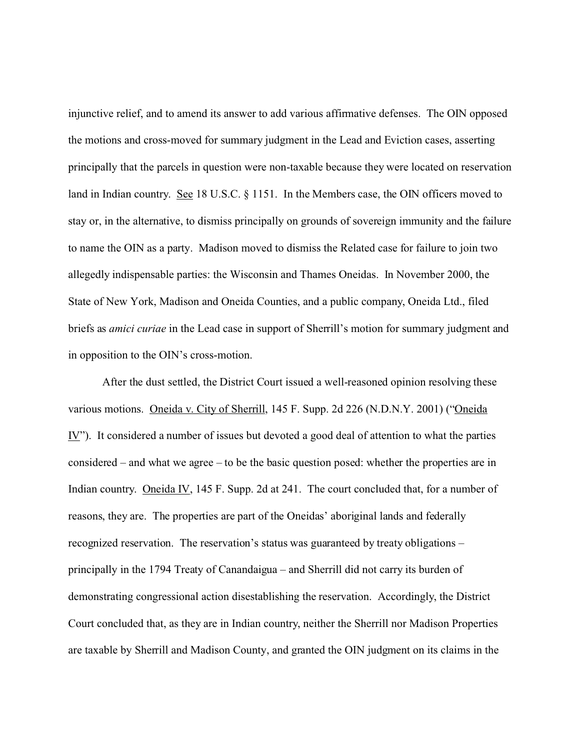injunctive relief, and to amend its answer to add various affirmative defenses. The OIN opposed the motions and cross-moved for summary judgment in the Lead and Eviction cases, asserting principally that the parcels in question were non-taxable because they were located on reservation land in Indian country. See 18 U.S.C. § 1151. In the Members case, the OIN officers moved to stay or, in the alternative, to dismiss principally on grounds of sovereign immunity and the failure to name the OIN as a party. Madison moved to dismiss the Related case for failure to join two allegedly indispensable parties: the Wisconsin and Thames Oneidas. In November 2000, the State of New York, Madison and Oneida Counties, and a public company, Oneida Ltd., filed briefs as *amici curiae* in the Lead case in support of Sherrill's motion for summary judgment and in opposition to the OIN's cross-motion.

After the dust settled, the District Court issued a well-reasoned opinion resolving these various motions. Oneida v. City of Sherrill, 145 F. Supp. 2d 226 (N.D.N.Y. 2001) ("Oneida IV"). It considered a number of issues but devoted a good deal of attention to what the parties considered – and what we agree – to be the basic question posed: whether the properties are in Indian country. Oneida IV, 145 F. Supp. 2d at 241. The court concluded that, for a number of reasons, they are. The properties are part of the Oneidas' aboriginal lands and federally recognized reservation. The reservation's status was guaranteed by treaty obligations – principally in the 1794 Treaty of Canandaigua – and Sherrill did not carry its burden of demonstrating congressional action disestablishing the reservation. Accordingly, the District Court concluded that, as they are in Indian country, neither the Sherrill nor Madison Properties are taxable by Sherrill and Madison County, and granted the OIN judgment on its claims in the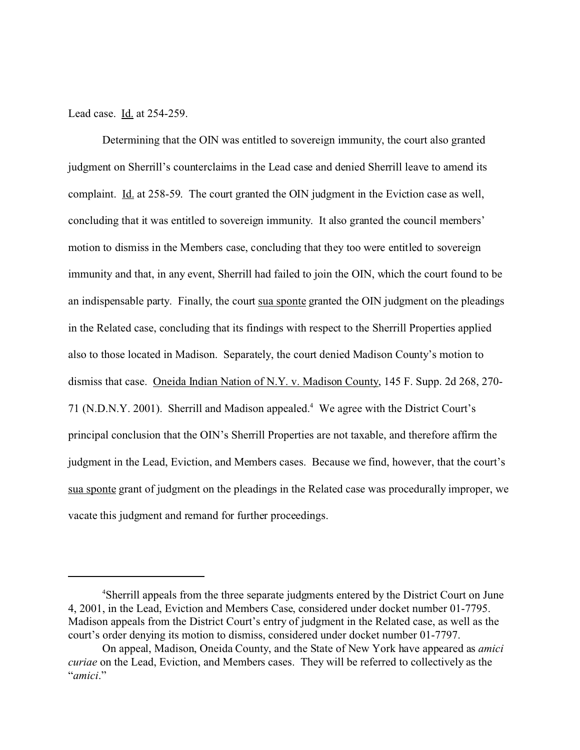Lead case. Id. at 254-259.

Determining that the OIN was entitled to sovereign immunity, the court also granted judgment on Sherrill's counterclaims in the Lead case and denied Sherrill leave to amend its complaint. Id. at 258-59. The court granted the OIN judgment in the Eviction case as well, concluding that it was entitled to sovereign immunity. It also granted the council members' motion to dismiss in the Members case, concluding that they too were entitled to sovereign immunity and that, in any event, Sherrill had failed to join the OIN, which the court found to be an indispensable party. Finally, the court sua sponte granted the OIN judgment on the pleadings in the Related case, concluding that its findings with respect to the Sherrill Properties applied also to those located in Madison. Separately, the court denied Madison County's motion to dismiss that case. Oneida Indian Nation of N.Y. v. Madison County, 145 F. Supp. 2d 268, 270- 71 (N.D.N.Y. 2001). Sherrill and Madison appealed.<sup>4</sup> We agree with the District Court's principal conclusion that the OIN's Sherrill Properties are not taxable, and therefore affirm the judgment in the Lead, Eviction, and Members cases. Because we find, however, that the court's sua sponte grant of judgment on the pleadings in the Related case was procedurally improper, we vacate this judgment and remand for further proceedings.

<sup>4</sup>Sherrill appeals from the three separate judgments entered by the District Court on June 4, 2001, in the Lead, Eviction and Members Case, considered under docket number 01-7795. Madison appeals from the District Court's entry of judgment in the Related case, as well as the court's order denying its motion to dismiss, considered under docket number 01-7797.

On appeal, Madison, Oneida County, and the State of New York have appeared as *amici curiae* on the Lead, Eviction, and Members cases. They will be referred to collectively as the "*amici*."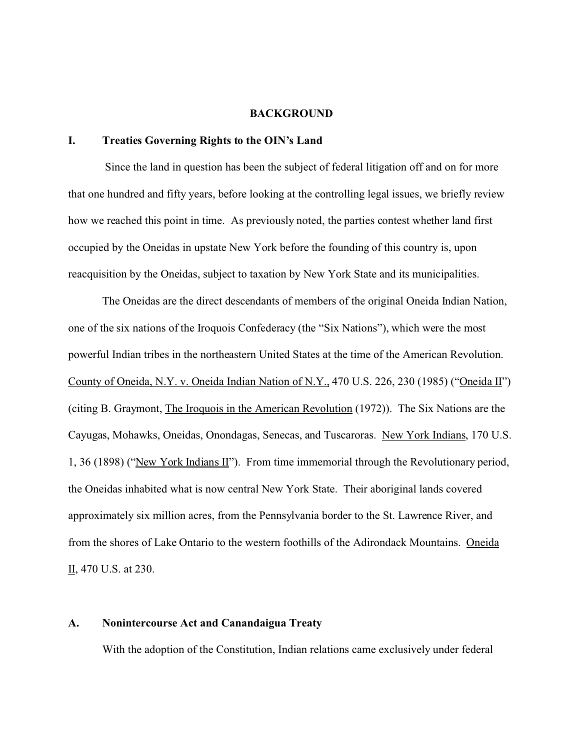#### **BACKGROUND**

## **I. Treaties Governing Rights to the OIN's Land**

 Since the land in question has been the subject of federal litigation off and on for more that one hundred and fifty years, before looking at the controlling legal issues, we briefly review how we reached this point in time. As previously noted, the parties contest whether land first occupied by the Oneidas in upstate New York before the founding of this country is, upon reacquisition by the Oneidas, subject to taxation by New York State and its municipalities.

The Oneidas are the direct descendants of members of the original Oneida Indian Nation, one of the six nations of the Iroquois Confederacy (the "Six Nations"), which were the most powerful Indian tribes in the northeastern United States at the time of the American Revolution. County of Oneida, N.Y. v. Oneida Indian Nation of N.Y., 470 U.S. 226, 230 (1985) ("Oneida II") (citing B. Graymont, The Iroquois in the American Revolution (1972)). The Six Nations are the Cayugas, Mohawks, Oneidas, Onondagas, Senecas, and Tuscaroras. New York Indians, 170 U.S. 1, 36 (1898) ("New York Indians II"). From time immemorial through the Revolutionary period, the Oneidas inhabited what is now central New York State. Their aboriginal lands covered approximately six million acres, from the Pennsylvania border to the St. Lawrence River, and from the shores of Lake Ontario to the western foothills of the Adirondack Mountains. Oneida II, 470 U.S. at 230.

### **A. Nonintercourse Act and Canandaigua Treaty**

With the adoption of the Constitution, Indian relations came exclusively under federal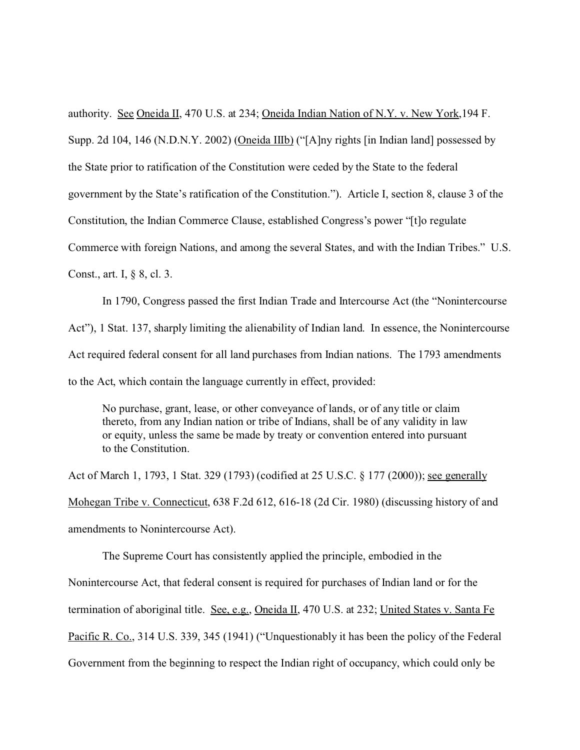authority. See Oneida II, 470 U.S. at 234; Oneida Indian Nation of N.Y. v. New York,194 F. Supp. 2d 104, 146 (N.D.N.Y. 2002) (Oneida IIIb) ("[A]ny rights [in Indian land] possessed by the State prior to ratification of the Constitution were ceded by the State to the federal government by the State's ratification of the Constitution."). Article I, section 8, clause 3 of the Constitution, the Indian Commerce Clause, established Congress's power "[t]o regulate Commerce with foreign Nations, and among the several States, and with the Indian Tribes." U.S. Const., art. I, § 8, cl. 3.

In 1790, Congress passed the first Indian Trade and Intercourse Act (the "Nonintercourse Act"), 1 Stat. 137, sharply limiting the alienability of Indian land. In essence, the Nonintercourse Act required federal consent for all land purchases from Indian nations. The 1793 amendments to the Act, which contain the language currently in effect, provided:

No purchase, grant, lease, or other conveyance of lands, or of any title or claim thereto, from any Indian nation or tribe of Indians, shall be of any validity in law or equity, unless the same be made by treaty or convention entered into pursuant to the Constitution.

Act of March 1, 1793, 1 Stat. 329 (1793) (codified at 25 U.S.C. § 177 (2000)); see generally Mohegan Tribe v. Connecticut, 638 F.2d 612, 616-18 (2d Cir. 1980) (discussing history of and amendments to Nonintercourse Act).

The Supreme Court has consistently applied the principle, embodied in the Nonintercourse Act, that federal consent is required for purchases of Indian land or for the termination of aboriginal title. See, e.g., Oneida II, 470 U.S. at 232; United States v. Santa Fe Pacific R. Co., 314 U.S. 339, 345 (1941) ("Unquestionably it has been the policy of the Federal Government from the beginning to respect the Indian right of occupancy, which could only be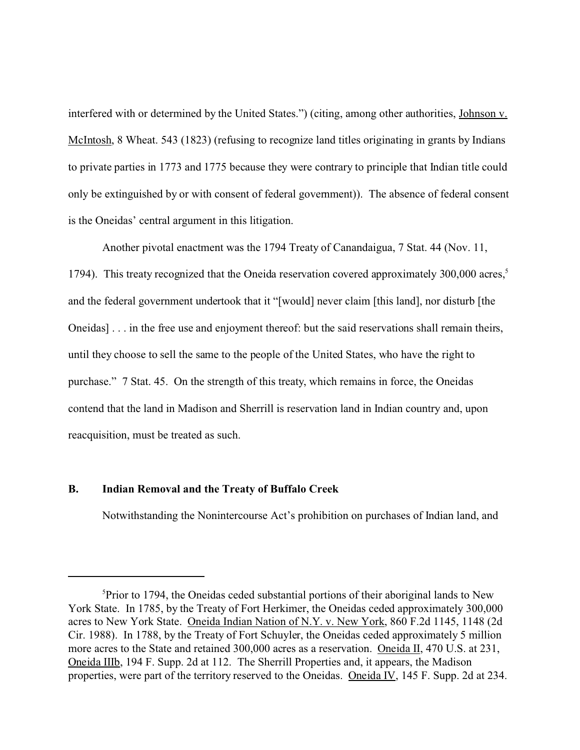interfered with or determined by the United States.") (citing, among other authorities, Johnson v. McIntosh, 8 Wheat. 543 (1823) (refusing to recognize land titles originating in grants by Indians to private parties in 1773 and 1775 because they were contrary to principle that Indian title could only be extinguished by or with consent of federal government)). The absence of federal consent is the Oneidas' central argument in this litigation.

Another pivotal enactment was the 1794 Treaty of Canandaigua, 7 Stat. 44 (Nov. 11, 1794). This treaty recognized that the Oneida reservation covered approximately  $300,000$  acres,<sup>5</sup> and the federal government undertook that it "[would] never claim [this land], nor disturb [the Oneidas] . . . in the free use and enjoyment thereof: but the said reservations shall remain theirs, until they choose to sell the same to the people of the United States, who have the right to purchase." 7 Stat. 45. On the strength of this treaty, which remains in force, the Oneidas contend that the land in Madison and Sherrill is reservation land in Indian country and, upon reacquisition, must be treated as such.

## **B. Indian Removal and the Treaty of Buffalo Creek**

Notwithstanding the Nonintercourse Act's prohibition on purchases of Indian land, and

<sup>&</sup>lt;sup>5</sup>Prior to 1794, the Oneidas ceded substantial portions of their aboriginal lands to New York State. In 1785, by the Treaty of Fort Herkimer, the Oneidas ceded approximately 300,000 acres to New York State. Oneida Indian Nation of N.Y. v. New York, 860 F.2d 1145, 1148 (2d Cir. 1988). In 1788, by the Treaty of Fort Schuyler, the Oneidas ceded approximately 5 million more acres to the State and retained 300,000 acres as a reservation. Oneida II, 470 U.S. at 231, Oneida IIIb, 194 F. Supp. 2d at 112. The Sherrill Properties and, it appears, the Madison properties, were part of the territory reserved to the Oneidas. Oneida IV, 145 F. Supp. 2d at 234.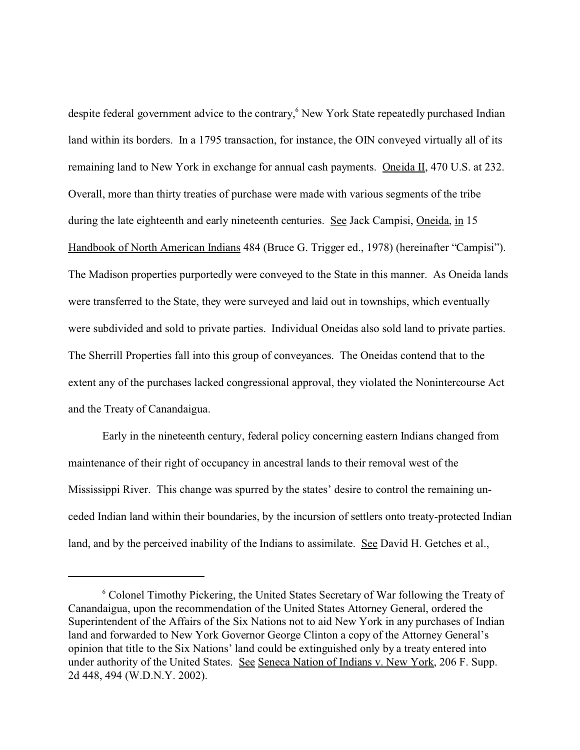despite federal government advice to the contrary,<sup>6</sup> New York State repeatedly purchased Indian land within its borders. In a 1795 transaction, for instance, the OIN conveyed virtually all of its remaining land to New York in exchange for annual cash payments. Oneida II, 470 U.S. at 232. Overall, more than thirty treaties of purchase were made with various segments of the tribe during the late eighteenth and early nineteenth centuries. See Jack Campisi, Oneida, in 15 Handbook of North American Indians 484 (Bruce G. Trigger ed., 1978) (hereinafter "Campisi"). The Madison properties purportedly were conveyed to the State in this manner. As Oneida lands were transferred to the State, they were surveyed and laid out in townships, which eventually were subdivided and sold to private parties. Individual Oneidas also sold land to private parties. The Sherrill Properties fall into this group of conveyances. The Oneidas contend that to the extent any of the purchases lacked congressional approval, they violated the Nonintercourse Act and the Treaty of Canandaigua.

Early in the nineteenth century, federal policy concerning eastern Indians changed from maintenance of their right of occupancy in ancestral lands to their removal west of the Mississippi River. This change was spurred by the states' desire to control the remaining unceded Indian land within their boundaries, by the incursion of settlers onto treaty-protected Indian land, and by the perceived inability of the Indians to assimilate. See David H. Getches et al.,

<sup>&</sup>lt;sup>6</sup> Colonel Timothy Pickering, the United States Secretary of War following the Treaty of Canandaigua, upon the recommendation of the United States Attorney General, ordered the Superintendent of the Affairs of the Six Nations not to aid New York in any purchases of Indian land and forwarded to New York Governor George Clinton a copy of the Attorney General's opinion that title to the Six Nations' land could be extinguished only by a treaty entered into under authority of the United States. See Seneca Nation of Indians v. New York, 206 F. Supp. 2d 448, 494 (W.D.N.Y. 2002).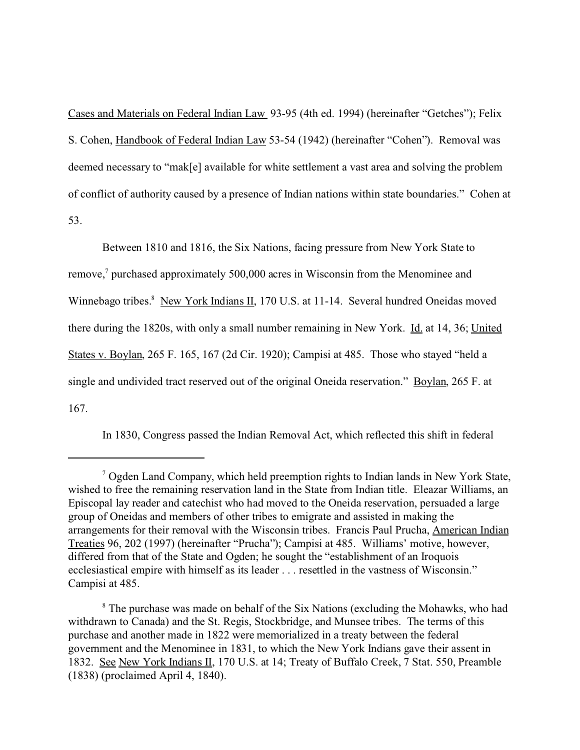Cases and Materials on Federal Indian Law 93-95 (4th ed. 1994) (hereinafter "Getches"); Felix S. Cohen, Handbook of Federal Indian Law 53-54 (1942) (hereinafter "Cohen"). Removal was deemed necessary to "mak[e] available for white settlement a vast area and solving the problem of conflict of authority caused by a presence of Indian nations within state boundaries." Cohen at 53.

Between 1810 and 1816, the Six Nations, facing pressure from New York State to remove,<sup>7</sup> purchased approximately 500,000 acres in Wisconsin from the Menominee and Winnebago tribes.<sup>8</sup> New York Indians II, 170 U.S. at 11-14. Several hundred Oneidas moved there during the 1820s, with only a small number remaining in New York. Id. at 14, 36; United States v. Boylan, 265 F. 165, 167 (2d Cir. 1920); Campisi at 485. Those who stayed "held a single and undivided tract reserved out of the original Oneida reservation." Boylan, 265 F. at 167.

In 1830, Congress passed the Indian Removal Act, which reflected this shift in federal

<sup>&</sup>lt;sup>7</sup> Ogden Land Company, which held preemption rights to Indian lands in New York State, wished to free the remaining reservation land in the State from Indian title. Eleazar Williams, an Episcopal lay reader and catechist who had moved to the Oneida reservation, persuaded a large group of Oneidas and members of other tribes to emigrate and assisted in making the arrangements for their removal with the Wisconsin tribes. Francis Paul Prucha, American Indian Treaties 96, 202 (1997) (hereinafter "Prucha"); Campisi at 485. Williams' motive, however, differed from that of the State and Ogden; he sought the "establishment of an Iroquois ecclesiastical empire with himself as its leader . . . resettled in the vastness of Wisconsin." Campisi at 485.

<sup>&</sup>lt;sup>8</sup> The purchase was made on behalf of the Six Nations (excluding the Mohawks, who had withdrawn to Canada) and the St. Regis, Stockbridge, and Munsee tribes. The terms of this purchase and another made in 1822 were memorialized in a treaty between the federal government and the Menominee in 1831, to which the New York Indians gave their assent in 1832. See New York Indians II, 170 U.S. at 14; Treaty of Buffalo Creek, 7 Stat. 550, Preamble (1838) (proclaimed April 4, 1840).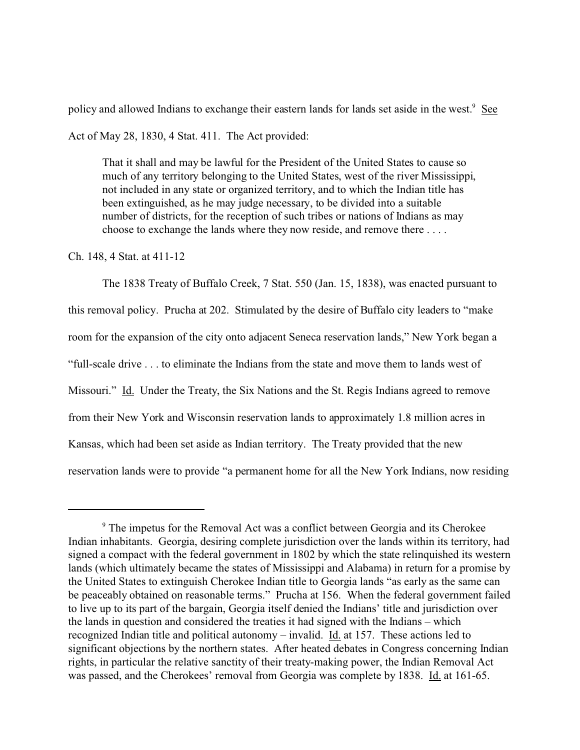policy and allowed Indians to exchange their eastern lands for lands set aside in the west.<sup>9</sup> See Act of May 28, 1830, 4 Stat. 411. The Act provided:

That it shall and may be lawful for the President of the United States to cause so much of any territory belonging to the United States, west of the river Mississippi, not included in any state or organized territory, and to which the Indian title has been extinguished, as he may judge necessary, to be divided into a suitable number of districts, for the reception of such tribes or nations of Indians as may choose to exchange the lands where they now reside, and remove there . . . .

## Ch. 148, 4 Stat. at 411-12

The 1838 Treaty of Buffalo Creek, 7 Stat. 550 (Jan. 15, 1838), was enacted pursuant to this removal policy. Prucha at 202. Stimulated by the desire of Buffalo city leaders to "make room for the expansion of the city onto adjacent Seneca reservation lands," New York began a "full-scale drive . . . to eliminate the Indians from the state and move them to lands west of Missouri." Id. Under the Treaty, the Six Nations and the St. Regis Indians agreed to remove from their New York and Wisconsin reservation lands to approximately 1.8 million acres in Kansas, which had been set aside as Indian territory. The Treaty provided that the new reservation lands were to provide "a permanent home for all the New York Indians, now residing

<sup>&</sup>lt;sup>9</sup> The impetus for the Removal Act was a conflict between Georgia and its Cherokee Indian inhabitants. Georgia, desiring complete jurisdiction over the lands within its territory, had signed a compact with the federal government in 1802 by which the state relinquished its western lands (which ultimately became the states of Mississippi and Alabama) in return for a promise by the United States to extinguish Cherokee Indian title to Georgia lands "as early as the same can be peaceably obtained on reasonable terms." Prucha at 156. When the federal government failed to live up to its part of the bargain, Georgia itself denied the Indians' title and jurisdiction over the lands in question and considered the treaties it had signed with the Indians – which recognized Indian title and political autonomy – invalid. Id. at 157. These actions led to significant objections by the northern states. After heated debates in Congress concerning Indian rights, in particular the relative sanctity of their treaty-making power, the Indian Removal Act was passed, and the Cherokees' removal from Georgia was complete by 1838. Id. at 161-65.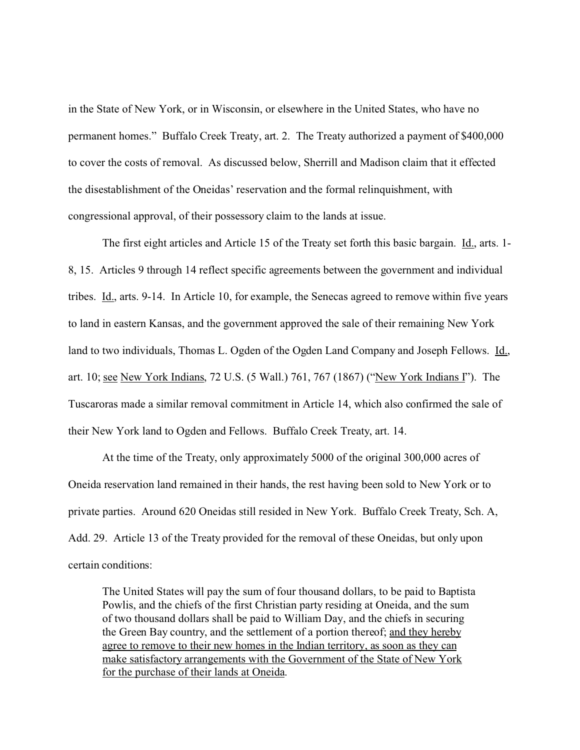in the State of New York, or in Wisconsin, or elsewhere in the United States, who have no permanent homes." Buffalo Creek Treaty, art. 2. The Treaty authorized a payment of \$400,000 to cover the costs of removal. As discussed below, Sherrill and Madison claim that it effected the disestablishment of the Oneidas' reservation and the formal relinquishment, with congressional approval, of their possessory claim to the lands at issue.

The first eight articles and Article 15 of the Treaty set forth this basic bargain. Id., arts. 1-8, 15. Articles 9 through 14 reflect specific agreements between the government and individual tribes. Id., arts. 9-14. In Article 10, for example, the Senecas agreed to remove within five years to land in eastern Kansas, and the government approved the sale of their remaining New York land to two individuals, Thomas L. Ogden of the Ogden Land Company and Joseph Fellows. Id., art. 10; see New York Indians, 72 U.S. (5 Wall.) 761, 767 (1867) ("New York Indians I"). The Tuscaroras made a similar removal commitment in Article 14, which also confirmed the sale of their New York land to Ogden and Fellows. Buffalo Creek Treaty, art. 14.

At the time of the Treaty, only approximately 5000 of the original 300,000 acres of Oneida reservation land remained in their hands, the rest having been sold to New York or to private parties. Around 620 Oneidas still resided in New York. Buffalo Creek Treaty, Sch. A, Add. 29. Article 13 of the Treaty provided for the removal of these Oneidas, but only upon certain conditions:

The United States will pay the sum of four thousand dollars, to be paid to Baptista Powlis, and the chiefs of the first Christian party residing at Oneida, and the sum of two thousand dollars shall be paid to William Day, and the chiefs in securing the Green Bay country, and the settlement of a portion thereof; and they hereby agree to remove to their new homes in the Indian territory, as soon as they can make satisfactory arrangements with the Government of the State of New York for the purchase of their lands at Oneida.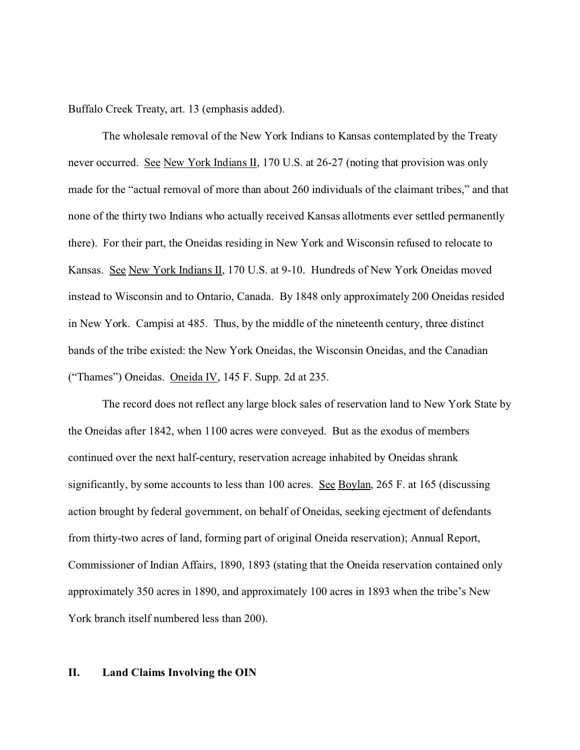Buffalo Creek Treaty, art. 13 (emphasis added).

The wholesale removal of the New York Indians to Kansas contemplated by the Treaty never occurred. See New York Indians II, 170 U.S. at 26-27 (noting that provision was only made for the "actual removal of more than about 260 individuals of the claimant tribes," and that none of the thirty two Indians who actually received Kansas allotments ever settled permanently there). For their part, the Oneidas residing in New York and Wisconsin refused to relocate to Kansas. See New York Indians II, 170 U.S. at 9-10. Hundreds of New York Oneidas moved instead to Wisconsin and to Ontario, Canada. By 1848 only approximately 200 Oneidas resided in New York. Campisi at 485. Thus, by the middle of the nineteenth century, three distinct bands of the tribe existed: the New York Oneidas, the Wisconsin Oneidas, and the Canadian ("Thames") Oneidas. Oneida IV, 145 F. Supp. 2d at 235.

The record does not reflect any large block sales of reservation land to New York State by the Oneidas after 1842, when 1100 acres were conveyed. But as the exodus of members continued over the next half-century, reservation acreage inhabited by Oneidas shrank significantly, by some accounts to less than 100 acres. See Boylan, 265 F. at 165 (discussing action brought by federal government, on behalf of Oneidas, seeking ejectment of defendants from thirty-two acres of land, forming part of original Oneida reservation); Annual Report, Commissioner of Indian Affairs, 1890, 1893 (stating that the Oneida reservation contained only approximately 350 acres in 1890, and approximately 100 acres in 1893 when the tribe's New York branch itself numbered less than 200).

### **II. Land Claims Involving the OIN**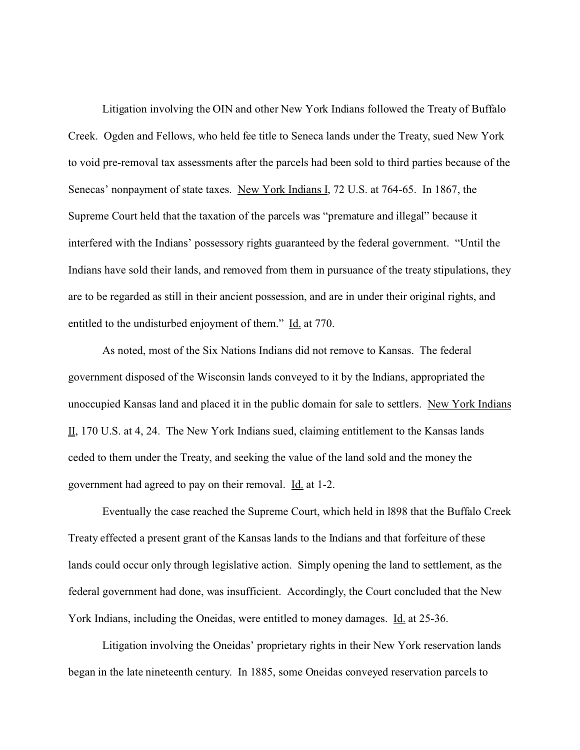Litigation involving the OIN and other New York Indians followed the Treaty of Buffalo Creek. Ogden and Fellows, who held fee title to Seneca lands under the Treaty, sued New York to void pre-removal tax assessments after the parcels had been sold to third parties because of the Senecas' nonpayment of state taxes. New York Indians I, 72 U.S. at 764-65. In 1867, the Supreme Court held that the taxation of the parcels was "premature and illegal" because it interfered with the Indians' possessory rights guaranteed by the federal government. "Until the Indians have sold their lands, and removed from them in pursuance of the treaty stipulations, they are to be regarded as still in their ancient possession, and are in under their original rights, and entitled to the undisturbed enjoyment of them." Id. at 770.

As noted, most of the Six Nations Indians did not remove to Kansas. The federal government disposed of the Wisconsin lands conveyed to it by the Indians, appropriated the unoccupied Kansas land and placed it in the public domain for sale to settlers. New York Indians II, 170 U.S. at 4, 24. The New York Indians sued, claiming entitlement to the Kansas lands ceded to them under the Treaty, and seeking the value of the land sold and the money the government had agreed to pay on their removal. Id. at 1-2.

Eventually the case reached the Supreme Court, which held in l898 that the Buffalo Creek Treaty effected a present grant of the Kansas lands to the Indians and that forfeiture of these lands could occur only through legislative action. Simply opening the land to settlement, as the federal government had done, was insufficient. Accordingly, the Court concluded that the New York Indians, including the Oneidas, were entitled to money damages. Id. at 25-36.

Litigation involving the Oneidas' proprietary rights in their New York reservation lands began in the late nineteenth century. In 1885, some Oneidas conveyed reservation parcels to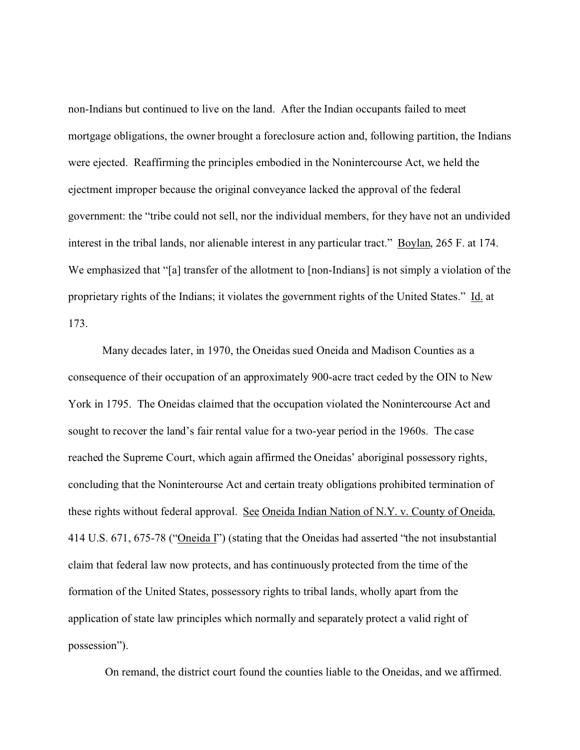non-Indians but continued to live on the land. After the Indian occupants failed to meet mortgage obligations, the owner brought a foreclosure action and, following partition, the Indians were ejected. Reaffirming the principles embodied in the Nonintercourse Act, we held the ejectment improper because the original conveyance lacked the approval of the federal government: the "tribe could not sell, nor the individual members, for they have not an undivided interest in the tribal lands, nor alienable interest in any particular tract." Boylan, 265 F. at 174. We emphasized that "[a] transfer of the allotment to [non-Indians] is not simply a violation of the proprietary rights of the Indians; it violates the government rights of the United States." Id. at 173.

Many decades later, in 1970, the Oneidas sued Oneida and Madison Counties as a consequence of their occupation of an approximately 900-acre tract ceded by the OIN to New York in 1795. The Oneidas claimed that the occupation violated the Nonintercourse Act and sought to recover the land's fair rental value for a two-year period in the 1960s. The case reached the Supreme Court, which again affirmed the Oneidas' aboriginal possessory rights, concluding that the Noninterourse Act and certain treaty obligations prohibited termination of these rights without federal approval. See Oneida Indian Nation of N.Y. v. County of Oneida, 414 U.S. 671, 675-78 ("Oneida I") (stating that the Oneidas had asserted "the not insubstantial claim that federal law now protects, and has continuously protected from the time of the formation of the United States, possessory rights to tribal lands, wholly apart from the application of state law principles which normally and separately protect a valid right of possession").

On remand, the district court found the counties liable to the Oneidas, and we affirmed.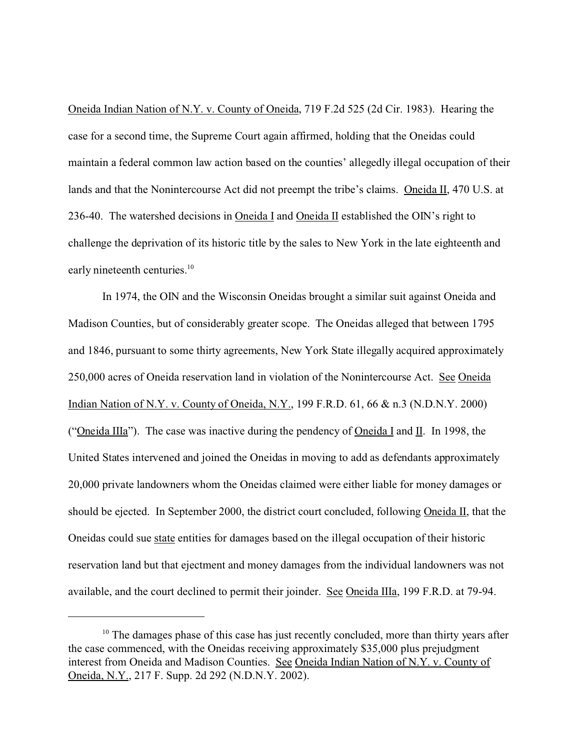Oneida Indian Nation of N.Y. v. County of Oneida, 719 F.2d 525 (2d Cir. 1983). Hearing the case for a second time, the Supreme Court again affirmed, holding that the Oneidas could maintain a federal common law action based on the counties' allegedly illegal occupation of their lands and that the Nonintercourse Act did not preempt the tribe's claims. Oneida II, 470 U.S. at 236-40. The watershed decisions in Oneida I and Oneida II established the OIN's right to challenge the deprivation of its historic title by the sales to New York in the late eighteenth and early nineteenth centuries.<sup>10</sup>

In 1974, the OIN and the Wisconsin Oneidas brought a similar suit against Oneida and Madison Counties, but of considerably greater scope. The Oneidas alleged that between 1795 and 1846, pursuant to some thirty agreements, New York State illegally acquired approximately 250,000 acres of Oneida reservation land in violation of the Nonintercourse Act. See Oneida Indian Nation of N.Y. v. County of Oneida, N.Y., 199 F.R.D. 61, 66 & n.3 (N.D.N.Y. 2000) ("Oneida IIIa"). The case was inactive during the pendency of Oneida I and II. In 1998, the United States intervened and joined the Oneidas in moving to add as defendants approximately 20,000 private landowners whom the Oneidas claimed were either liable for money damages or should be ejected. In September 2000, the district court concluded, following Oneida II, that the Oneidas could sue state entities for damages based on the illegal occupation of their historic reservation land but that ejectment and money damages from the individual landowners was not available, and the court declined to permit their joinder. See Oneida IIIa, 199 F.R.D. at 79-94.

<sup>&</sup>lt;sup>10</sup> The damages phase of this case has just recently concluded, more than thirty years after the case commenced, with the Oneidas receiving approximately \$35,000 plus prejudgment interest from Oneida and Madison Counties. See Oneida Indian Nation of N.Y. v. County of Oneida, N.Y., 217 F. Supp. 2d 292 (N.D.N.Y. 2002).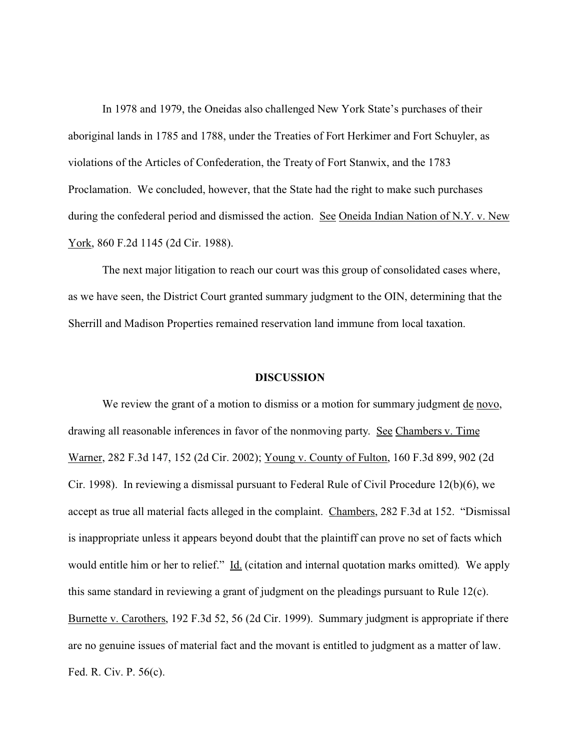In 1978 and 1979, the Oneidas also challenged New York State's purchases of their aboriginal lands in 1785 and 1788, under the Treaties of Fort Herkimer and Fort Schuyler, as violations of the Articles of Confederation, the Treaty of Fort Stanwix, and the 1783 Proclamation. We concluded, however, that the State had the right to make such purchases during the confederal period and dismissed the action. See Oneida Indian Nation of N.Y. v. New York, 860 F.2d 1145 (2d Cir. 1988).

The next major litigation to reach our court was this group of consolidated cases where, as we have seen, the District Court granted summary judgment to the OIN, determining that the Sherrill and Madison Properties remained reservation land immune from local taxation.

#### **DISCUSSION**

We review the grant of a motion to dismiss or a motion for summary judgment <u>de novo</u>, drawing all reasonable inferences in favor of the nonmoving party. See Chambers v. Time Warner, 282 F.3d 147, 152 (2d Cir. 2002); Young v. County of Fulton, 160 F.3d 899, 902 (2d Cir. 1998). In reviewing a dismissal pursuant to Federal Rule of Civil Procedure 12(b)(6), we accept as true all material facts alleged in the complaint. Chambers, 282 F.3d at 152. "Dismissal is inappropriate unless it appears beyond doubt that the plaintiff can prove no set of facts which would entitle him or her to relief." Id. (citation and internal quotation marks omitted). We apply this same standard in reviewing a grant of judgment on the pleadings pursuant to Rule 12(c). Burnette v. Carothers, 192 F.3d 52, 56 (2d Cir. 1999). Summary judgment is appropriate if there are no genuine issues of material fact and the movant is entitled to judgment as a matter of law. Fed. R. Civ. P. 56(c).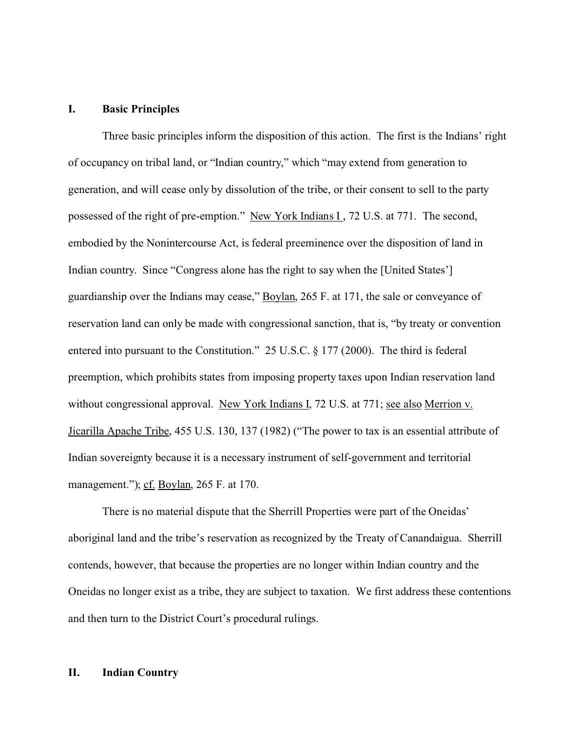## **I. Basic Principles**

Three basic principles inform the disposition of this action. The first is the Indians' right of occupancy on tribal land, or "Indian country," which "may extend from generation to generation, and will cease only by dissolution of the tribe, or their consent to sell to the party possessed of the right of pre-emption." New York Indians I , 72 U.S. at 771. The second, embodied by the Nonintercourse Act, is federal preeminence over the disposition of land in Indian country. Since "Congress alone has the right to say when the [United States'] guardianship over the Indians may cease," Boylan, 265 F. at 171, the sale or conveyance of reservation land can only be made with congressional sanction, that is, "by treaty or convention entered into pursuant to the Constitution." 25 U.S.C. § 177 (2000). The third is federal preemption, which prohibits states from imposing property taxes upon Indian reservation land without congressional approval. New York Indians I, 72 U.S. at 771; see also Merrion v. Jicarilla Apache Tribe, 455 U.S. 130, 137 (1982) ("The power to tax is an essential attribute of Indian sovereignty because it is a necessary instrument of self-government and territorial management."); cf. Boylan, 265 F. at 170.

There is no material dispute that the Sherrill Properties were part of the Oneidas' aboriginal land and the tribe's reservation as recognized by the Treaty of Canandaigua. Sherrill contends, however, that because the properties are no longer within Indian country and the Oneidas no longer exist as a tribe, they are subject to taxation. We first address these contentions and then turn to the District Court's procedural rulings.

# **II. Indian Country**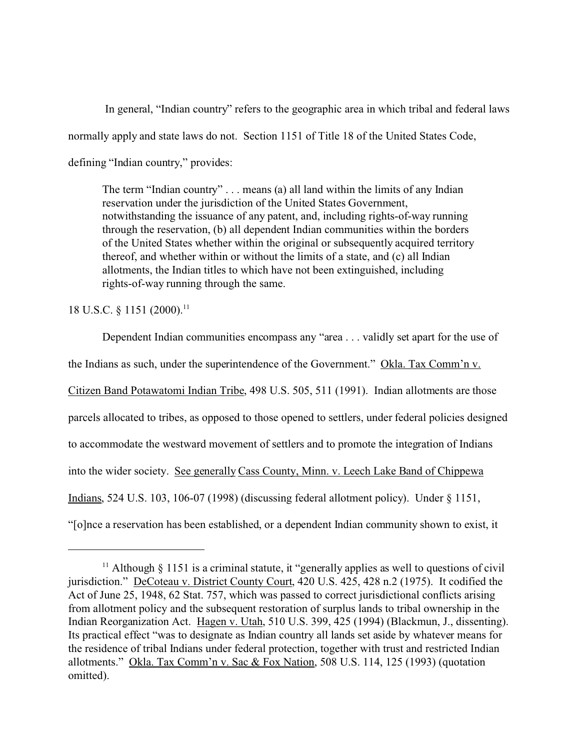In general, "Indian country" refers to the geographic area in which tribal and federal laws normally apply and state laws do not. Section 1151 of Title 18 of the United States Code, defining "Indian country," provides:

The term "Indian country" . . . means (a) all land within the limits of any Indian reservation under the jurisdiction of the United States Government, notwithstanding the issuance of any patent, and, including rights-of-way running through the reservation, (b) all dependent Indian communities within the borders of the United States whether within the original or subsequently acquired territory thereof, and whether within or without the limits of a state, and (c) all Indian allotments, the Indian titles to which have not been extinguished, including rights-of-way running through the same.

18 U.S.C. § 1151 (2000).<sup>11</sup>

Dependent Indian communities encompass any "area . . . validly set apart for the use of the Indians as such, under the superintendence of the Government." Okla. Tax Comm'n v. Citizen Band Potawatomi Indian Tribe, 498 U.S. 505, 511 (1991). Indian allotments are those parcels allocated to tribes, as opposed to those opened to settlers, under federal policies designed to accommodate the westward movement of settlers and to promote the integration of Indians into the wider society. See generally Cass County, Minn. v. Leech Lake Band of Chippewa Indians, 524 U.S. 103, 106-07 (1998) (discussing federal allotment policy). Under § 1151, "[o]nce a reservation has been established, or a dependent Indian community shown to exist, it

<sup>&</sup>lt;sup>11</sup> Although  $\S$  1151 is a criminal statute, it "generally applies as well to questions of civil" jurisdiction." DeCoteau v. District County Court, 420 U.S. 425, 428 n.2 (1975). It codified the Act of June 25, 1948, 62 Stat. 757, which was passed to correct jurisdictional conflicts arising from allotment policy and the subsequent restoration of surplus lands to tribal ownership in the Indian Reorganization Act. Hagen v. Utah, 510 U.S. 399, 425 (1994) (Blackmun, J., dissenting). Its practical effect "was to designate as Indian country all lands set aside by whatever means for the residence of tribal Indians under federal protection, together with trust and restricted Indian allotments." Okla. Tax Comm'n v. Sac & Fox Nation, 508 U.S. 114, 125 (1993) (quotation omitted).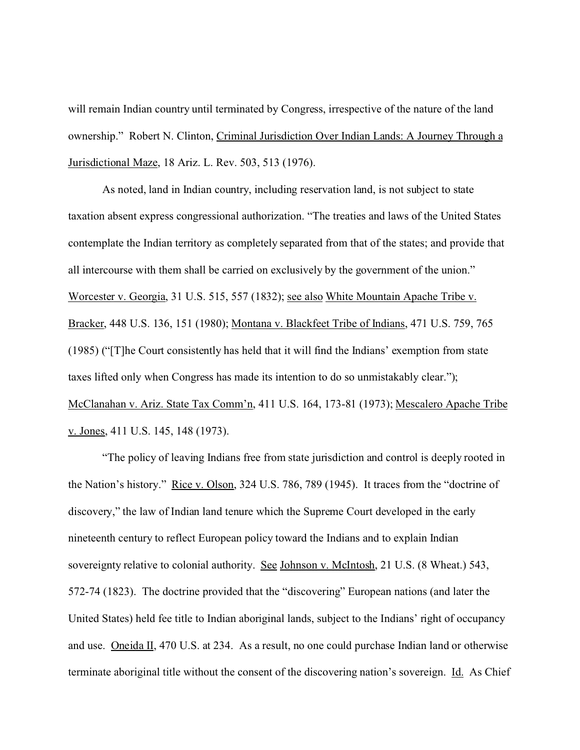will remain Indian country until terminated by Congress, irrespective of the nature of the land ownership." Robert N. Clinton, Criminal Jurisdiction Over Indian Lands: A Journey Through a Jurisdictional Maze, 18 Ariz. L. Rev. 503, 513 (1976).

As noted, land in Indian country, including reservation land, is not subject to state taxation absent express congressional authorization. "The treaties and laws of the United States contemplate the Indian territory as completely separated from that of the states; and provide that all intercourse with them shall be carried on exclusively by the government of the union." Worcester v. Georgia, 31 U.S. 515, 557 (1832); see also White Mountain Apache Tribe v. Bracker, 448 U.S. 136, 151 (1980); Montana v. Blackfeet Tribe of Indians, 471 U.S. 759, 765 (1985) ("[T]he Court consistently has held that it will find the Indians' exemption from state taxes lifted only when Congress has made its intention to do so unmistakably clear."); McClanahan v. Ariz. State Tax Comm'n, 411 U.S. 164, 173-81 (1973); Mescalero Apache Tribe v. Jones, 411 U.S. 145, 148 (1973).

"The policy of leaving Indians free from state jurisdiction and control is deeply rooted in the Nation's history." Rice v. Olson, 324 U.S. 786, 789 (1945). It traces from the "doctrine of discovery," the law of Indian land tenure which the Supreme Court developed in the early nineteenth century to reflect European policy toward the Indians and to explain Indian sovereignty relative to colonial authority. See Johnson v. McIntosh, 21 U.S. (8 Wheat.) 543, 572-74 (1823). The doctrine provided that the "discovering" European nations (and later the United States) held fee title to Indian aboriginal lands, subject to the Indians' right of occupancy and use. Oneida II, 470 U.S. at 234. As a result, no one could purchase Indian land or otherwise terminate aboriginal title without the consent of the discovering nation's sovereign. Id. As Chief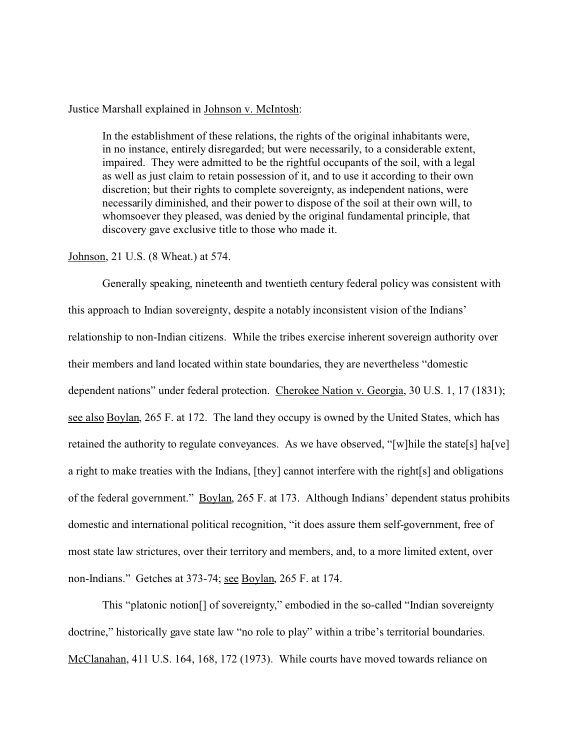### Justice Marshall explained in Johnson v. McIntosh:

In the establishment of these relations, the rights of the original inhabitants were, in no instance, entirely disregarded; but were necessarily, to a considerable extent, impaired. They were admitted to be the rightful occupants of the soil, with a legal as well as just claim to retain possession of it, and to use it according to their own discretion; but their rights to complete sovereignty, as independent nations, were necessarily diminished, and their power to dispose of the soil at their own will, to whomsoever they pleased, was denied by the original fundamental principle, that discovery gave exclusive title to those who made it.

### Johnson, 21 U.S. (8 Wheat.) at 574.

Generally speaking, nineteenth and twentieth century federal policy was consistent with this approach to Indian sovereignty, despite a notably inconsistent vision of the Indians' relationship to non-Indian citizens. While the tribes exercise inherent sovereign authority over their members and land located within state boundaries, they are nevertheless "domestic dependent nations" under federal protection. Cherokee Nation v. Georgia, 30 U.S. 1, 17 (1831); see also Boylan, 265 F. at 172. The land they occupy is owned by the United States, which has retained the authority to regulate conveyances. As we have observed, "[w]hile the state[s] ha[ve] a right to make treaties with the Indians, [they] cannot interfere with the right[s] and obligations of the federal government." Boylan, 265 F. at 173. Although Indians' dependent status prohibits domestic and international political recognition, "it does assure them self-government, free of most state law strictures, over their territory and members, and, to a more limited extent, over non-Indians." Getches at 373-74; see Boylan, 265 F. at 174.

This "platonic notion[] of sovereignty," embodied in the so-called "Indian sovereignty doctrine," historically gave state law "no role to play" within a tribe's territorial boundaries. McClanahan, 411 U.S. 164, 168, 172 (1973). While courts have moved towards reliance on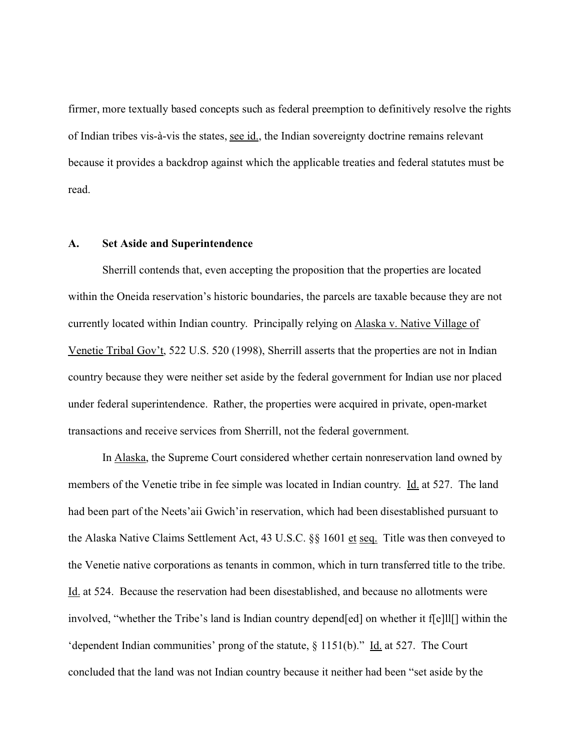firmer, more textually based concepts such as federal preemption to definitively resolve the rights of Indian tribes vis-à-vis the states, see id., the Indian sovereignty doctrine remains relevant because it provides a backdrop against which the applicable treaties and federal statutes must be read.

#### **A. Set Aside and Superintendence**

Sherrill contends that, even accepting the proposition that the properties are located within the Oneida reservation's historic boundaries, the parcels are taxable because they are not currently located within Indian country. Principally relying on Alaska v. Native Village of Venetie Tribal Gov't, 522 U.S. 520 (1998), Sherrill asserts that the properties are not in Indian country because they were neither set aside by the federal government for Indian use nor placed under federal superintendence. Rather, the properties were acquired in private, open-market transactions and receive services from Sherrill, not the federal government.

In Alaska, the Supreme Court considered whether certain nonreservation land owned by members of the Venetie tribe in fee simple was located in Indian country. Id. at 527. The land had been part of the Neets'aii Gwich'in reservation, which had been disestablished pursuant to the Alaska Native Claims Settlement Act, 43 U.S.C. §§ 1601 et seq. Title was then conveyed to the Venetie native corporations as tenants in common, which in turn transferred title to the tribe. Id. at 524. Because the reservation had been disestablished, and because no allotments were involved, "whether the Tribe's land is Indian country depend[ed] on whether it f[e]ll[] within the 'dependent Indian communities' prong of the statute,  $\S$  1151(b)." Id. at 527. The Court concluded that the land was not Indian country because it neither had been "set aside by the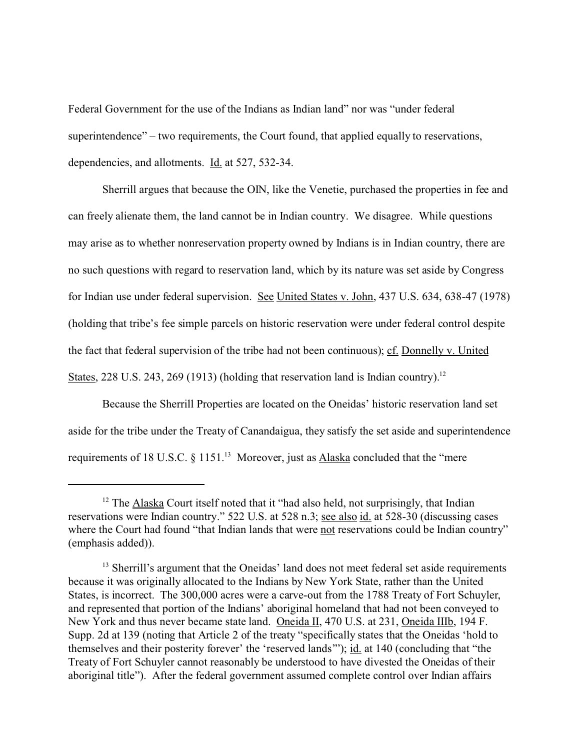Federal Government for the use of the Indians as Indian land" nor was "under federal superintendence" – two requirements, the Court found, that applied equally to reservations, dependencies, and allotments. Id. at 527, 532-34.

Sherrill argues that because the OIN, like the Venetie, purchased the properties in fee and can freely alienate them, the land cannot be in Indian country. We disagree. While questions may arise as to whether nonreservation property owned by Indians is in Indian country, there are no such questions with regard to reservation land, which by its nature was set aside by Congress for Indian use under federal supervision. See United States v. John, 437 U.S. 634, 638-47 (1978) (holding that tribe's fee simple parcels on historic reservation were under federal control despite the fact that federal supervision of the tribe had not been continuous); cf. Donnelly v. United States, 228 U.S. 243, 269 (1913) (holding that reservation land is Indian country).<sup>12</sup>

Because the Sherrill Properties are located on the Oneidas' historic reservation land set aside for the tribe under the Treaty of Canandaigua, they satisfy the set aside and superintendence requirements of 18 U.S.C. § 1151.<sup>13</sup> Moreover, just as **Alaska** concluded that the "mere

 $12$  The Alaska Court itself noted that it "had also held, not surprisingly, that Indian reservations were Indian country." 522 U.S. at 528 n.3; see also id. at 528-30 (discussing cases where the Court had found "that Indian lands that were not reservations could be Indian country" (emphasis added)).

<sup>&</sup>lt;sup>13</sup> Sherrill's argument that the Oneidas' land does not meet federal set aside requirements because it was originally allocated to the Indians by New York State, rather than the United States, is incorrect. The 300,000 acres were a carve-out from the 1788 Treaty of Fort Schuyler, and represented that portion of the Indians' aboriginal homeland that had not been conveyed to New York and thus never became state land. Oneida II, 470 U.S. at 231, Oneida IIIb, 194 F. Supp. 2d at 139 (noting that Article 2 of the treaty "specifically states that the Oneidas 'hold to themselves and their posterity forever' the 'reserved lands'"); id. at 140 (concluding that "the Treaty of Fort Schuyler cannot reasonably be understood to have divested the Oneidas of their aboriginal title"). After the federal government assumed complete control over Indian affairs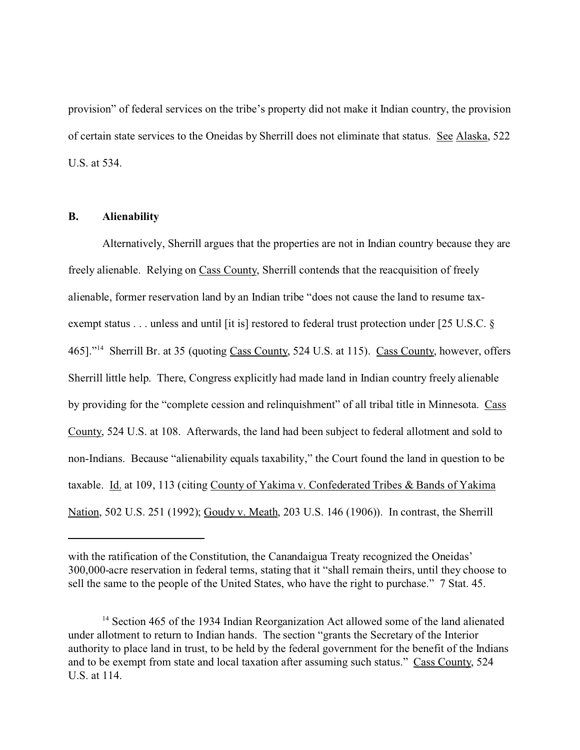provision" of federal services on the tribe's property did not make it Indian country, the provision of certain state services to the Oneidas by Sherrill does not eliminate that status. See Alaska, 522 U.S. at 534.

## **B. Alienability**

Alternatively, Sherrill argues that the properties are not in Indian country because they are freely alienable. Relying on Cass County, Sherrill contends that the reacquisition of freely alienable, former reservation land by an Indian tribe "does not cause the land to resume taxexempt status . . . unless and until [it is] restored to federal trust protection under [25 U.S.C. § 465]."<sup>14</sup> Sherrill Br. at 35 (quoting Cass County, 524 U.S. at 115). Cass County, however, offers Sherrill little help. There, Congress explicitly had made land in Indian country freely alienable by providing for the "complete cession and relinquishment" of all tribal title in Minnesota. Cass County, 524 U.S. at 108. Afterwards, the land had been subject to federal allotment and sold to non-Indians. Because "alienability equals taxability," the Court found the land in question to be taxable. Id. at 109, 113 (citing County of Yakima v. Confederated Tribes & Bands of Yakima Nation, 502 U.S. 251 (1992); Goudy v. Meath, 203 U.S. 146 (1906)). In contrast, the Sherrill

with the ratification of the Constitution, the Canandaigua Treaty recognized the Oneidas' 300,000-acre reservation in federal terms, stating that it "shall remain theirs, until they choose to sell the same to the people of the United States, who have the right to purchase." 7 Stat. 45.

<sup>&</sup>lt;sup>14</sup> Section 465 of the 1934 Indian Reorganization Act allowed some of the land alienated under allotment to return to Indian hands. The section "grants the Secretary of the Interior authority to place land in trust, to be held by the federal government for the benefit of the Indians and to be exempt from state and local taxation after assuming such status." Cass County, 524 U.S. at 114.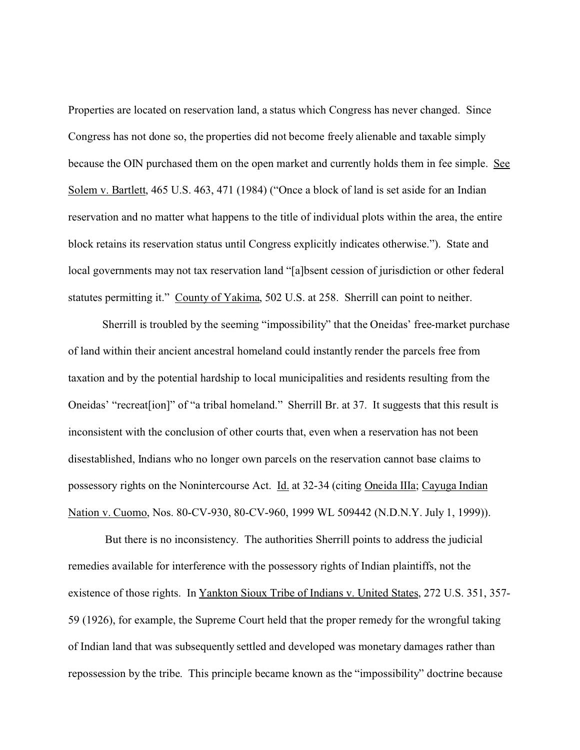Properties are located on reservation land, a status which Congress has never changed. Since Congress has not done so, the properties did not become freely alienable and taxable simply because the OIN purchased them on the open market and currently holds them in fee simple. See Solem v. Bartlett, 465 U.S. 463, 471 (1984) ("Once a block of land is set aside for an Indian reservation and no matter what happens to the title of individual plots within the area, the entire block retains its reservation status until Congress explicitly indicates otherwise."). State and local governments may not tax reservation land "[a]bsent cession of jurisdiction or other federal statutes permitting it." County of Yakima, 502 U.S. at 258. Sherrill can point to neither.

Sherrill is troubled by the seeming "impossibility" that the Oneidas' free-market purchase of land within their ancient ancestral homeland could instantly render the parcels free from taxation and by the potential hardship to local municipalities and residents resulting from the Oneidas' "recreat[ion]" of "a tribal homeland." Sherrill Br. at 37. It suggests that this result is inconsistent with the conclusion of other courts that, even when a reservation has not been disestablished, Indians who no longer own parcels on the reservation cannot base claims to possessory rights on the Nonintercourse Act. Id. at 32-34 (citing Oneida IIIa; Cayuga Indian Nation v. Cuomo, Nos. 80-CV-930, 80-CV-960, 1999 WL 509442 (N.D.N.Y. July 1, 1999)).

 But there is no inconsistency. The authorities Sherrill points to address the judicial remedies available for interference with the possessory rights of Indian plaintiffs, not the existence of those rights. In Yankton Sioux Tribe of Indians v. United States, 272 U.S. 351, 357-59 (1926), for example, the Supreme Court held that the proper remedy for the wrongful taking of Indian land that was subsequently settled and developed was monetary damages rather than repossession by the tribe. This principle became known as the "impossibility" doctrine because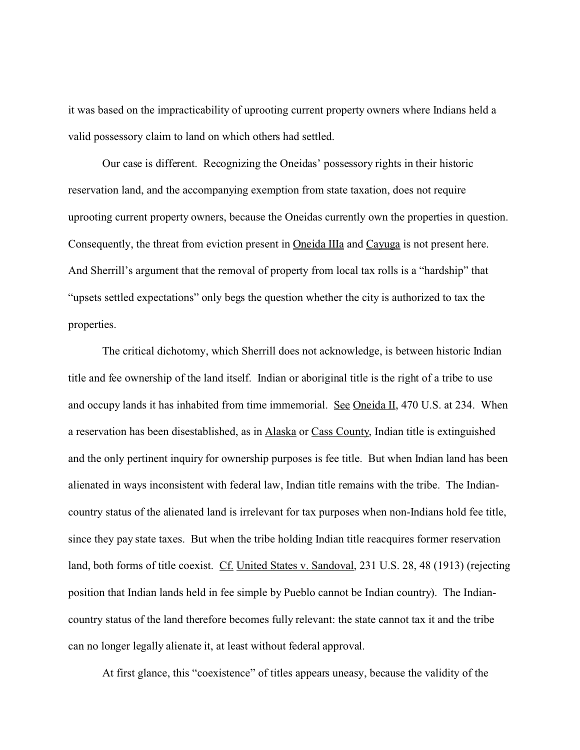it was based on the impracticability of uprooting current property owners where Indians held a valid possessory claim to land on which others had settled.

Our case is different. Recognizing the Oneidas' possessory rights in their historic reservation land, and the accompanying exemption from state taxation, does not require uprooting current property owners, because the Oneidas currently own the properties in question. Consequently, the threat from eviction present in Oneida IIIa and Cayuga is not present here. And Sherrill's argument that the removal of property from local tax rolls is a "hardship" that "upsets settled expectations" only begs the question whether the city is authorized to tax the properties.

The critical dichotomy, which Sherrill does not acknowledge, is between historic Indian title and fee ownership of the land itself. Indian or aboriginal title is the right of a tribe to use and occupy lands it has inhabited from time immemorial. See Oneida II, 470 U.S. at 234. When a reservation has been disestablished, as in Alaska or Cass County, Indian title is extinguished and the only pertinent inquiry for ownership purposes is fee title. But when Indian land has been alienated in ways inconsistent with federal law, Indian title remains with the tribe. The Indiancountry status of the alienated land is irrelevant for tax purposes when non-Indians hold fee title, since they pay state taxes. But when the tribe holding Indian title reacquires former reservation land, both forms of title coexist. Cf. United States v. Sandoval, 231 U.S. 28, 48 (1913) (rejecting position that Indian lands held in fee simple by Pueblo cannot be Indian country). The Indiancountry status of the land therefore becomes fully relevant: the state cannot tax it and the tribe can no longer legally alienate it, at least without federal approval.

At first glance, this "coexistence" of titles appears uneasy, because the validity of the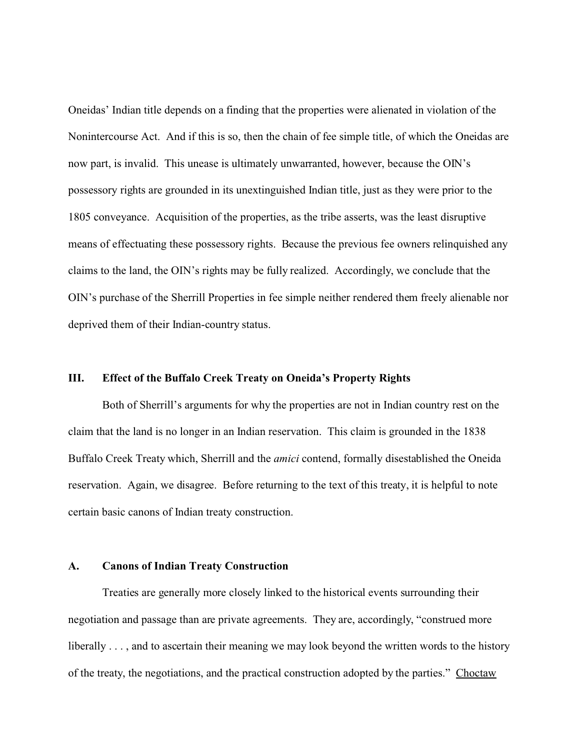Oneidas' Indian title depends on a finding that the properties were alienated in violation of the Nonintercourse Act. And if this is so, then the chain of fee simple title, of which the Oneidas are now part, is invalid. This unease is ultimately unwarranted, however, because the OIN's possessory rights are grounded in its unextinguished Indian title, just as they were prior to the 1805 conveyance. Acquisition of the properties, as the tribe asserts, was the least disruptive means of effectuating these possessory rights. Because the previous fee owners relinquished any claims to the land, the OIN's rights may be fully realized. Accordingly, we conclude that the OIN's purchase of the Sherrill Properties in fee simple neither rendered them freely alienable nor deprived them of their Indian-country status.

### **III. Effect of the Buffalo Creek Treaty on Oneida's Property Rights**

Both of Sherrill's arguments for why the properties are not in Indian country rest on the claim that the land is no longer in an Indian reservation. This claim is grounded in the 1838 Buffalo Creek Treaty which, Sherrill and the *amici* contend, formally disestablished the Oneida reservation. Again, we disagree. Before returning to the text of this treaty, it is helpful to note certain basic canons of Indian treaty construction.

#### **A. Canons of Indian Treaty Construction**

Treaties are generally more closely linked to the historical events surrounding their negotiation and passage than are private agreements. They are, accordingly, "construed more liberally . . . , and to ascertain their meaning we may look beyond the written words to the history of the treaty, the negotiations, and the practical construction adopted by the parties." Choctaw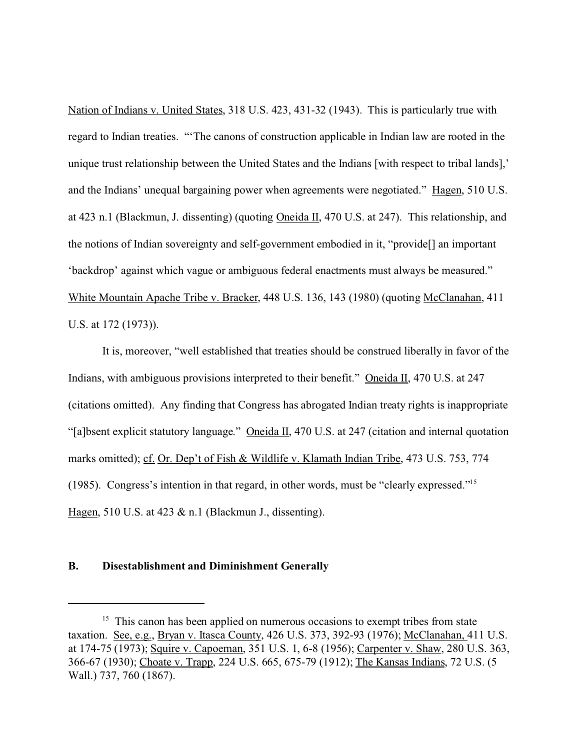Nation of Indians v. United States, 318 U.S. 423, 431-32 (1943). This is particularly true with regard to Indian treaties. "'The canons of construction applicable in Indian law are rooted in the unique trust relationship between the United States and the Indians [with respect to tribal lands],' and the Indians' unequal bargaining power when agreements were negotiated." Hagen, 510 U.S. at 423 n.1 (Blackmun, J. dissenting) (quoting Oneida II, 470 U.S. at 247). This relationship, and the notions of Indian sovereignty and self-government embodied in it, "provide[] an important 'backdrop' against which vague or ambiguous federal enactments must always be measured." White Mountain Apache Tribe v. Bracker, 448 U.S. 136, 143 (1980) (quoting McClanahan, 411 U.S. at 172 (1973)).

It is, moreover, "well established that treaties should be construed liberally in favor of the Indians, with ambiguous provisions interpreted to their benefit." Oneida II, 470 U.S. at 247 (citations omitted). Any finding that Congress has abrogated Indian treaty rights is inappropriate "[a]bsent explicit statutory language." Oneida II, 470 U.S. at 247 (citation and internal quotation marks omitted); cf. Or. Dep't of Fish & Wildlife v. Klamath Indian Tribe, 473 U.S. 753, 774 (1985). Congress's intention in that regard, in other words, must be "clearly expressed."<sup>15</sup> Hagen, 510 U.S. at 423 & n.1 (Blackmun J., dissenting).

### **B. Disestablishment and Diminishment Generally**

<sup>&</sup>lt;sup>15</sup> This canon has been applied on numerous occasions to exempt tribes from state taxation. See, e.g., Bryan v. Itasca County, 426 U.S. 373, 392-93 (1976); McClanahan, 411 U.S. at 174-75 (1973); Squire v. Capoeman, 351 U.S. 1, 6-8 (1956); Carpenter v. Shaw, 280 U.S. 363, 366-67 (1930); Choate v. Trapp, 224 U.S. 665, 675-79 (1912); The Kansas Indians, 72 U.S. (5 Wall.) 737, 760 (1867).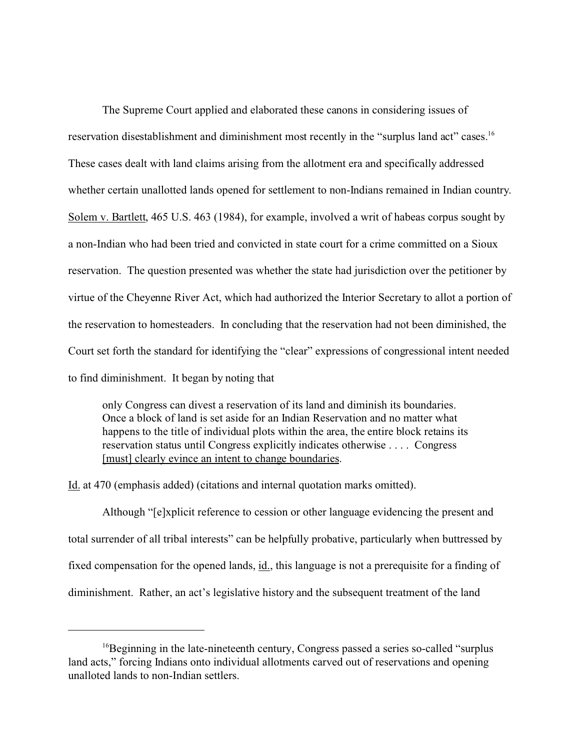The Supreme Court applied and elaborated these canons in considering issues of reservation disestablishment and diminishment most recently in the "surplus land act" cases.<sup>16</sup> These cases dealt with land claims arising from the allotment era and specifically addressed whether certain unallotted lands opened for settlement to non-Indians remained in Indian country. Solem v. Bartlett, 465 U.S. 463 (1984), for example, involved a writ of habeas corpus sought by a non-Indian who had been tried and convicted in state court for a crime committed on a Sioux reservation. The question presented was whether the state had jurisdiction over the petitioner by virtue of the Cheyenne River Act, which had authorized the Interior Secretary to allot a portion of the reservation to homesteaders. In concluding that the reservation had not been diminished, the Court set forth the standard for identifying the "clear" expressions of congressional intent needed to find diminishment. It began by noting that

only Congress can divest a reservation of its land and diminish its boundaries. Once a block of land is set aside for an Indian Reservation and no matter what happens to the title of individual plots within the area, the entire block retains its reservation status until Congress explicitly indicates otherwise . . . . Congress [must] clearly evince an intent to change boundaries.

Id. at 470 (emphasis added) (citations and internal quotation marks omitted).

Although "[e]xplicit reference to cession or other language evidencing the present and total surrender of all tribal interests" can be helpfully probative, particularly when buttressed by fixed compensation for the opened lands, id., this language is not a prerequisite for a finding of diminishment. Rather, an act's legislative history and the subsequent treatment of the land

<sup>&</sup>lt;sup>16</sup>Beginning in the late-nineteenth century, Congress passed a series so-called "surplus" land acts," forcing Indians onto individual allotments carved out of reservations and opening unalloted lands to non-Indian settlers.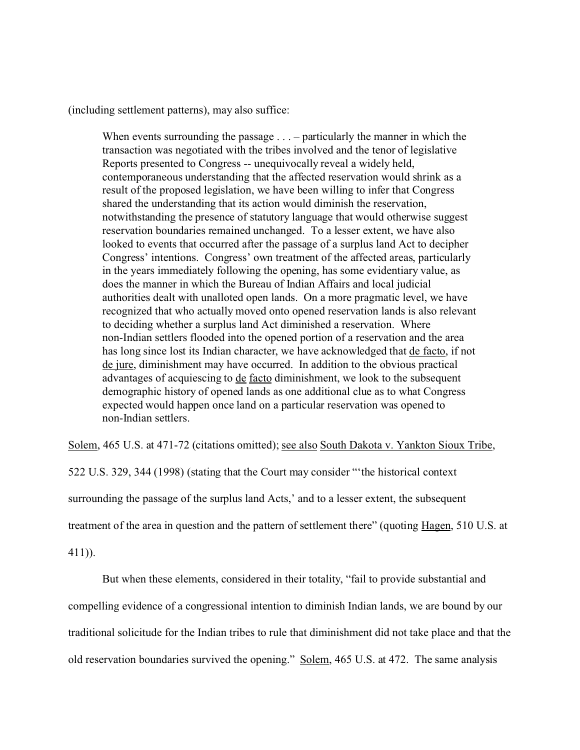(including settlement patterns), may also suffice:

When events surrounding the passage . . . – particularly the manner in which the transaction was negotiated with the tribes involved and the tenor of legislative Reports presented to Congress -- unequivocally reveal a widely held, contemporaneous understanding that the affected reservation would shrink as a result of the proposed legislation, we have been willing to infer that Congress shared the understanding that its action would diminish the reservation, notwithstanding the presence of statutory language that would otherwise suggest reservation boundaries remained unchanged. To a lesser extent, we have also looked to events that occurred after the passage of a surplus land Act to decipher Congress' intentions. Congress' own treatment of the affected areas, particularly in the years immediately following the opening, has some evidentiary value, as does the manner in which the Bureau of Indian Affairs and local judicial authorities dealt with unalloted open lands. On a more pragmatic level, we have recognized that who actually moved onto opened reservation lands is also relevant to deciding whether a surplus land Act diminished a reservation. Where non-Indian settlers flooded into the opened portion of a reservation and the area has long since lost its Indian character, we have acknowledged that de facto, if not de jure, diminishment may have occurred. In addition to the obvious practical advantages of acquiescing to de facto diminishment, we look to the subsequent demographic history of opened lands as one additional clue as to what Congress expected would happen once land on a particular reservation was opened to non-Indian settlers.

Solem, 465 U.S. at 471-72 (citations omitted); see also South Dakota v. Yankton Sioux Tribe,

522 U.S. 329, 344 (1998) (stating that the Court may consider "'the historical context surrounding the passage of the surplus land Acts,' and to a lesser extent, the subsequent treatment of the area in question and the pattern of settlement there" (quoting Hagen, 510 U.S. at

411)).

But when these elements, considered in their totality, "fail to provide substantial and compelling evidence of a congressional intention to diminish Indian lands, we are bound by our traditional solicitude for the Indian tribes to rule that diminishment did not take place and that the old reservation boundaries survived the opening." Solem, 465 U.S. at 472. The same analysis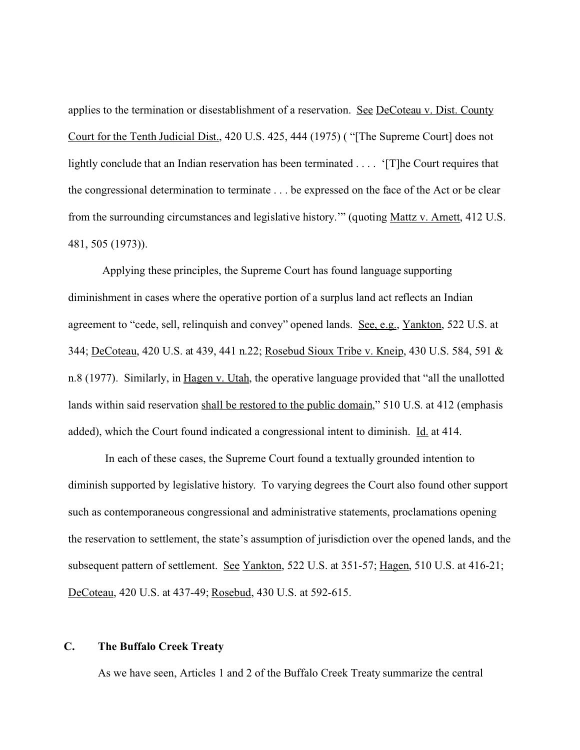applies to the termination or disestablishment of a reservation. See DeCoteau v. Dist. County Court for the Tenth Judicial Dist., 420 U.S. 425, 444 (1975) ( "[The Supreme Court] does not lightly conclude that an Indian reservation has been terminated . . . . '[T]he Court requires that the congressional determination to terminate . . . be expressed on the face of the Act or be clear from the surrounding circumstances and legislative history.'" (quoting Mattz v. Arnett, 412 U.S. 481, 505 (1973)).

Applying these principles, the Supreme Court has found language supporting diminishment in cases where the operative portion of a surplus land act reflects an Indian agreement to "cede, sell, relinquish and convey" opened lands. See, e.g., Yankton, 522 U.S. at 344; DeCoteau, 420 U.S. at 439, 441 n.22; Rosebud Sioux Tribe v. Kneip, 430 U.S. 584, 591 & n.8 (1977). Similarly, in Hagen v. Utah, the operative language provided that "all the unallotted lands within said reservation shall be restored to the public domain," 510 U.S. at 412 (emphasis added), which the Court found indicated a congressional intent to diminish. Id. at 414.

 In each of these cases, the Supreme Court found a textually grounded intention to diminish supported by legislative history. To varying degrees the Court also found other support such as contemporaneous congressional and administrative statements, proclamations opening the reservation to settlement, the state's assumption of jurisdiction over the opened lands, and the subsequent pattern of settlement. See Yankton, 522 U.S. at 351-57; Hagen, 510 U.S. at 416-21; DeCoteau, 420 U.S. at 437-49; Rosebud, 430 U.S. at 592-615.

# **C. The Buffalo Creek Treaty**

As we have seen, Articles 1 and 2 of the Buffalo Creek Treaty summarize the central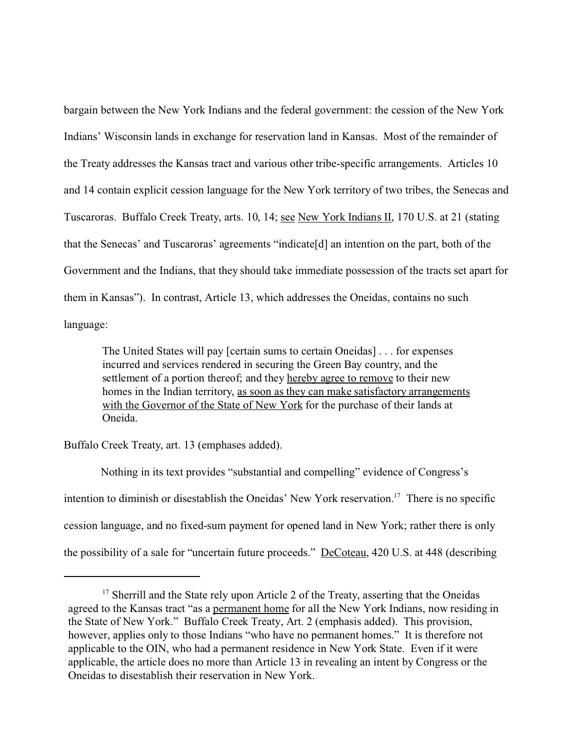bargain between the New York Indians and the federal government: the cession of the New York Indians' Wisconsin lands in exchange for reservation land in Kansas. Most of the remainder of the Treaty addresses the Kansas tract and various other tribe-specific arrangements. Articles 10 and 14 contain explicit cession language for the New York territory of two tribes, the Senecas and Tuscaroras. Buffalo Creek Treaty, arts. 10, 14; see New York Indians II, 170 U.S. at 21 (stating that the Senecas' and Tuscaroras' agreements "indicate[d] an intention on the part, both of the Government and the Indians, that they should take immediate possession of the tracts set apart for them in Kansas"). In contrast, Article 13, which addresses the Oneidas, contains no such language:

The United States will pay [certain sums to certain Oneidas] . . . for expenses incurred and services rendered in securing the Green Bay country, and the settlement of a portion thereof; and they hereby agree to remove to their new homes in the Indian territory, as soon as they can make satisfactory arrangements with the Governor of the State of New York for the purchase of their lands at Oneida.

Buffalo Creek Treaty, art. 13 (emphases added).

 Nothing in its text provides "substantial and compelling" evidence of Congress's intention to diminish or disestablish the Oneidas' New York reservation.<sup>17</sup> There is no specific cession language, and no fixed-sum payment for opened land in New York; rather there is only the possibility of a sale for "uncertain future proceeds." DeCoteau, 420 U.S. at 448 (describing

<sup>&</sup>lt;sup>17</sup> Sherrill and the State rely upon Article 2 of the Treaty, asserting that the Oneidas agreed to the Kansas tract "as a permanent home for all the New York Indians, now residing in the State of New York." Buffalo Creek Treaty, Art. 2 (emphasis added). This provision, however, applies only to those Indians "who have no permanent homes." It is therefore not applicable to the OIN, who had a permanent residence in New York State. Even if it were applicable, the article does no more than Article 13 in revealing an intent by Congress or the Oneidas to disestablish their reservation in New York.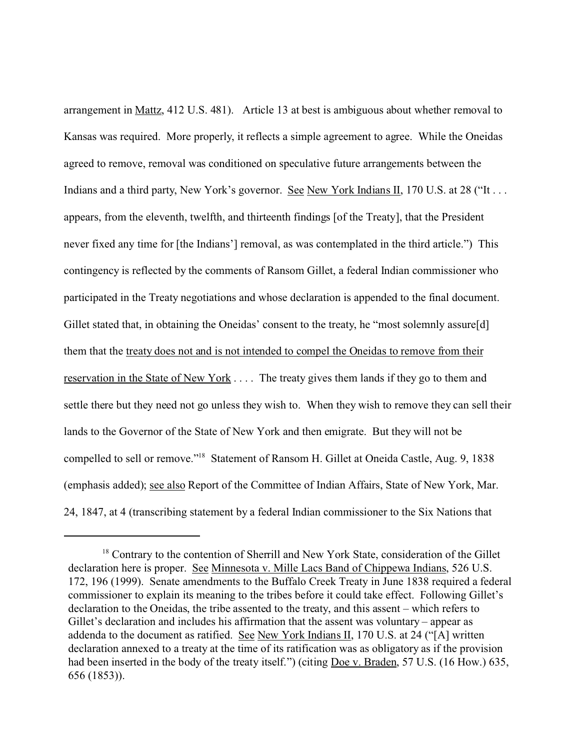arrangement in Mattz, 412 U.S. 481). Article 13 at best is ambiguous about whether removal to Kansas was required. More properly, it reflects a simple agreement to agree. While the Oneidas agreed to remove, removal was conditioned on speculative future arrangements between the Indians and a third party, New York's governor. See New York Indians II, 170 U.S. at 28 ("It . . . appears, from the eleventh, twelfth, and thirteenth findings [of the Treaty], that the President never fixed any time for [the Indians'] removal, as was contemplated in the third article.") This contingency is reflected by the comments of Ransom Gillet, a federal Indian commissioner who participated in the Treaty negotiations and whose declaration is appended to the final document. Gillet stated that, in obtaining the Oneidas' consent to the treaty, he "most solemnly assure[d] them that the treaty does not and is not intended to compel the Oneidas to remove from their reservation in the State of New York . . . . The treaty gives them lands if they go to them and settle there but they need not go unless they wish to. When they wish to remove they can sell their lands to the Governor of the State of New York and then emigrate. But they will not be compelled to sell or remove."<sup>18</sup> Statement of Ransom H. Gillet at Oneida Castle, Aug. 9, 1838 (emphasis added); see also Report of the Committee of Indian Affairs, State of New York, Mar. 24, 1847, at 4 (transcribing statement by a federal Indian commissioner to the Six Nations that

<sup>&</sup>lt;sup>18</sup> Contrary to the contention of Sherrill and New York State, consideration of the Gillet declaration here is proper. See Minnesota v. Mille Lacs Band of Chippewa Indians, 526 U.S. 172, 196 (1999). Senate amendments to the Buffalo Creek Treaty in June 1838 required a federal commissioner to explain its meaning to the tribes before it could take effect. Following Gillet's declaration to the Oneidas, the tribe assented to the treaty, and this assent – which refers to Gillet's declaration and includes his affirmation that the assent was voluntary – appear as addenda to the document as ratified. See New York Indians II, 170 U.S. at 24 ("[A] written declaration annexed to a treaty at the time of its ratification was as obligatory as if the provision had been inserted in the body of the treaty itself.") (citing Doe v. Braden, 57 U.S. (16 How.) 635, 656 (1853)).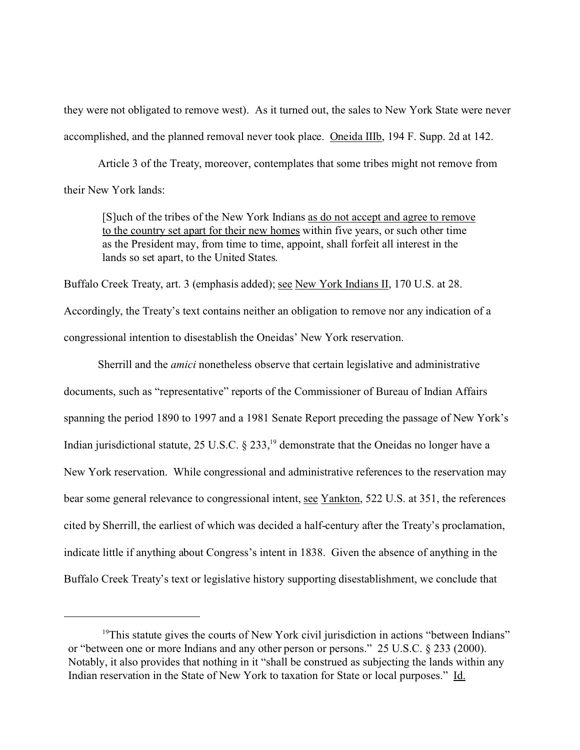they were not obligated to remove west). As it turned out, the sales to New York State were never accomplished, and the planned removal never took place. Oneida IIIb, 194 F. Supp. 2d at 142.

Article 3 of the Treaty, moreover, contemplates that some tribes might not remove from their New York lands:

[S]uch of the tribes of the New York Indians as do not accept and agree to remove to the country set apart for their new homes within five years, or such other time as the President may, from time to time, appoint, shall forfeit all interest in the lands so set apart, to the United States.

Buffalo Creek Treaty, art. 3 (emphasis added); see New York Indians II, 170 U.S. at 28.

Accordingly, the Treaty's text contains neither an obligation to remove nor any indication of a congressional intention to disestablish the Oneidas' New York reservation.

Sherrill and the *amici* nonetheless observe that certain legislative and administrative documents, such as "representative" reports of the Commissioner of Bureau of Indian Affairs spanning the period 1890 to 1997 and a 1981 Senate Report preceding the passage of New York's Indian jurisdictional statute,  $25 \text{ U.S.C.}$  §  $233$ ,<sup>19</sup> demonstrate that the Oneidas no longer have a New York reservation. While congressional and administrative references to the reservation may bear some general relevance to congressional intent, see Yankton, 522 U.S. at 351, the references cited by Sherrill, the earliest of which was decided a half-century after the Treaty's proclamation, indicate little if anything about Congress's intent in 1838. Given the absence of anything in the Buffalo Creek Treaty's text or legislative history supporting disestablishment, we conclude that

<sup>&</sup>lt;sup>19</sup>This statute gives the courts of New York civil jurisdiction in actions "between Indians" or "between one or more Indians and any other person or persons." 25 U.S.C. § 233 (2000). Notably, it also provides that nothing in it "shall be construed as subjecting the lands within any Indian reservation in the State of New York to taxation for State or local purposes." Id.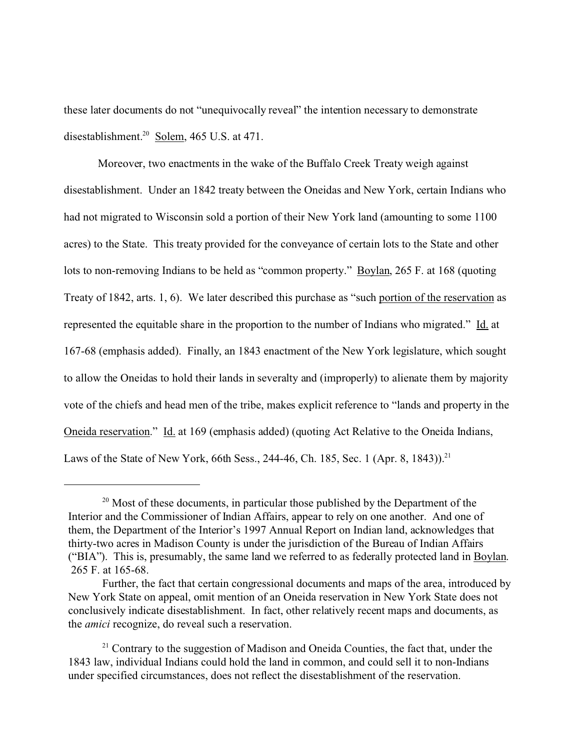these later documents do not "unequivocally reveal" the intention necessary to demonstrate disestablishment.<sup>20</sup> Solem, 465 U.S. at 471.

Moreover, two enactments in the wake of the Buffalo Creek Treaty weigh against disestablishment. Under an 1842 treaty between the Oneidas and New York, certain Indians who had not migrated to Wisconsin sold a portion of their New York land (amounting to some 1100 acres) to the State. This treaty provided for the conveyance of certain lots to the State and other lots to non-removing Indians to be held as "common property." Boylan, 265 F. at 168 (quoting Treaty of 1842, arts. 1, 6). We later described this purchase as "such portion of the reservation as represented the equitable share in the proportion to the number of Indians who migrated." Id. at 167-68 (emphasis added). Finally, an 1843 enactment of the New York legislature, which sought to allow the Oneidas to hold their lands in severalty and (improperly) to alienate them by majority vote of the chiefs and head men of the tribe, makes explicit reference to "lands and property in the Oneida reservation." Id. at 169 (emphasis added) (quoting Act Relative to the Oneida Indians, Laws of the State of New York, 66th Sess., 244-46, Ch. 185, Sec. 1 (Apr. 8, 1843)).<sup>21</sup>

<sup>&</sup>lt;sup>20</sup> Most of these documents, in particular those published by the Department of the Interior and the Commissioner of Indian Affairs, appear to rely on one another. And one of them, the Department of the Interior's 1997 Annual Report on Indian land, acknowledges that thirty-two acres in Madison County is under the jurisdiction of the Bureau of Indian Affairs ("BIA"). This is, presumably, the same land we referred to as federally protected land in Boylan. 265 F. at 165-68.

Further, the fact that certain congressional documents and maps of the area, introduced by New York State on appeal, omit mention of an Oneida reservation in New York State does not conclusively indicate disestablishment. In fact, other relatively recent maps and documents, as the *amici* recognize, do reveal such a reservation.

 $21$  Contrary to the suggestion of Madison and Oneida Counties, the fact that, under the 1843 law, individual Indians could hold the land in common, and could sell it to non-Indians under specified circumstances, does not reflect the disestablishment of the reservation.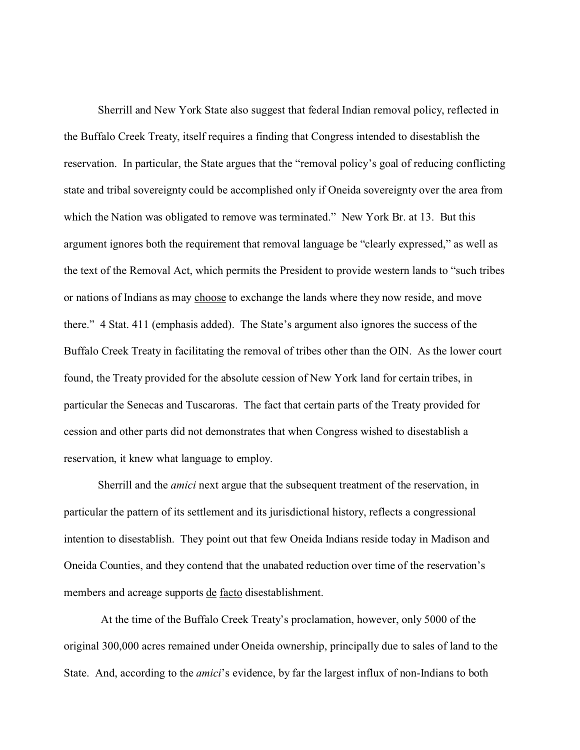Sherrill and New York State also suggest that federal Indian removal policy, reflected in the Buffalo Creek Treaty, itself requires a finding that Congress intended to disestablish the reservation. In particular, the State argues that the "removal policy's goal of reducing conflicting state and tribal sovereignty could be accomplished only if Oneida sovereignty over the area from which the Nation was obligated to remove was terminated." New York Br. at 13. But this argument ignores both the requirement that removal language be "clearly expressed," as well as the text of the Removal Act, which permits the President to provide western lands to "such tribes or nations of Indians as may choose to exchange the lands where they now reside, and move there." 4 Stat. 411 (emphasis added). The State's argument also ignores the success of the Buffalo Creek Treaty in facilitating the removal of tribes other than the OIN. As the lower court found, the Treaty provided for the absolute cession of New York land for certain tribes, in particular the Senecas and Tuscaroras. The fact that certain parts of the Treaty provided for cession and other parts did not demonstrates that when Congress wished to disestablish a reservation, it knew what language to employ.

Sherrill and the *amici* next argue that the subsequent treatment of the reservation, in particular the pattern of its settlement and its jurisdictional history, reflects a congressional intention to disestablish. They point out that few Oneida Indians reside today in Madison and Oneida Counties, and they contend that the unabated reduction over time of the reservation's members and acreage supports de facto disestablishment.

 At the time of the Buffalo Creek Treaty's proclamation, however, only 5000 of the original 300,000 acres remained under Oneida ownership, principally due to sales of land to the State. And, according to the *amici*'s evidence, by far the largest influx of non-Indians to both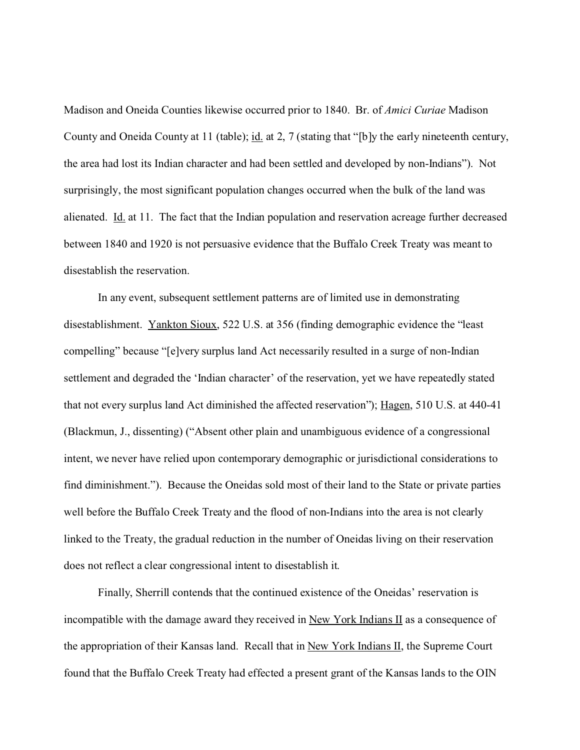Madison and Oneida Counties likewise occurred prior to 1840. Br. of *Amici Curiae* Madison County and Oneida County at 11 (table); id. at 2, 7 (stating that "[b]y the early nineteenth century, the area had lost its Indian character and had been settled and developed by non-Indians"). Not surprisingly, the most significant population changes occurred when the bulk of the land was alienated. Id. at 11. The fact that the Indian population and reservation acreage further decreased between 1840 and 1920 is not persuasive evidence that the Buffalo Creek Treaty was meant to disestablish the reservation.

In any event, subsequent settlement patterns are of limited use in demonstrating disestablishment. Yankton Sioux, 522 U.S. at 356 (finding demographic evidence the "least compelling" because "[e]very surplus land Act necessarily resulted in a surge of non-Indian settlement and degraded the 'Indian character' of the reservation, yet we have repeatedly stated that not every surplus land Act diminished the affected reservation"); Hagen, 510 U.S. at 440-41 (Blackmun, J., dissenting) ("Absent other plain and unambiguous evidence of a congressional intent, we never have relied upon contemporary demographic or jurisdictional considerations to find diminishment."). Because the Oneidas sold most of their land to the State or private parties well before the Buffalo Creek Treaty and the flood of non-Indians into the area is not clearly linked to the Treaty, the gradual reduction in the number of Oneidas living on their reservation does not reflect a clear congressional intent to disestablish it.

Finally, Sherrill contends that the continued existence of the Oneidas' reservation is incompatible with the damage award they received in New York Indians  $II$  as a consequence of the appropriation of their Kansas land. Recall that in New York Indians II, the Supreme Court found that the Buffalo Creek Treaty had effected a present grant of the Kansas lands to the OIN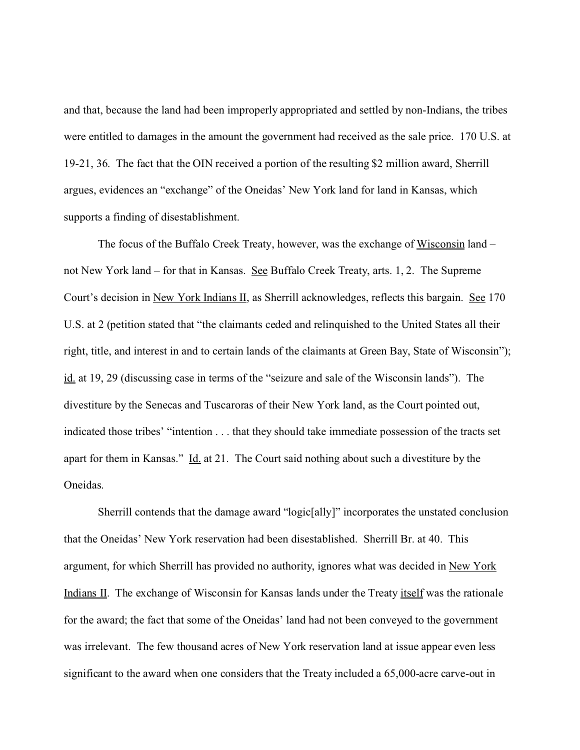and that, because the land had been improperly appropriated and settled by non-Indians, the tribes were entitled to damages in the amount the government had received as the sale price. 170 U.S. at 19-21, 36. The fact that the OIN received a portion of the resulting \$2 million award, Sherrill argues, evidences an "exchange" of the Oneidas' New York land for land in Kansas, which supports a finding of disestablishment.

The focus of the Buffalo Creek Treaty, however, was the exchange of Wisconsin land – not New York land – for that in Kansas. See Buffalo Creek Treaty, arts. 1, 2. The Supreme Court's decision in New York Indians II, as Sherrill acknowledges, reflects this bargain. See 170 U.S. at 2 (petition stated that "the claimants ceded and relinquished to the United States all their right, title, and interest in and to certain lands of the claimants at Green Bay, State of Wisconsin"); id. at 19, 29 (discussing case in terms of the "seizure and sale of the Wisconsin lands"). The divestiture by the Senecas and Tuscaroras of their New York land, as the Court pointed out, indicated those tribes' "intention . . . that they should take immediate possession of the tracts set apart for them in Kansas." Id. at 21. The Court said nothing about such a divestiture by the Oneidas.

Sherrill contends that the damage award "logic[ally]" incorporates the unstated conclusion that the Oneidas' New York reservation had been disestablished. Sherrill Br. at 40.This argument, for which Sherrill has provided no authority, ignores what was decided in New York Indians II. The exchange of Wisconsin for Kansas lands under the Treaty itself was the rationale for the award; the fact that some of the Oneidas' land had not been conveyed to the government was irrelevant. The few thousand acres of New York reservation land at issue appear even less significant to the award when one considers that the Treaty included a 65,000-acre carve-out in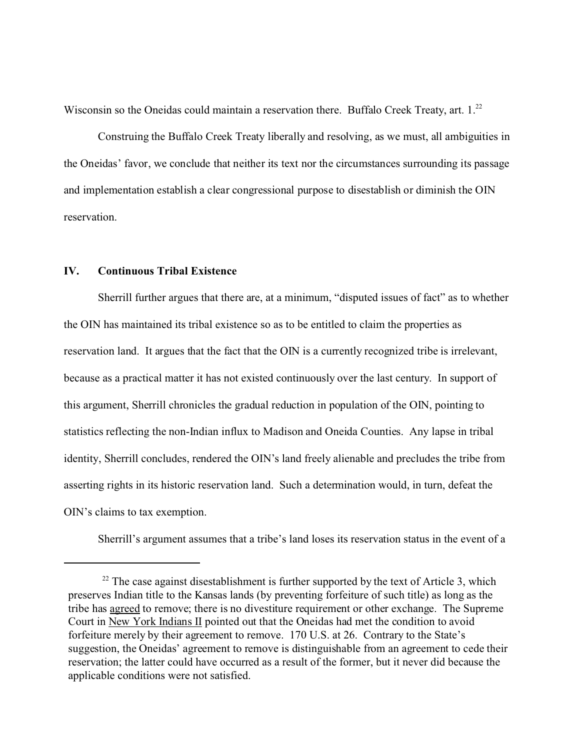Wisconsin so the Oneidas could maintain a reservation there. Buffalo Creek Treaty, art. 1.<sup>22</sup>

Construing the Buffalo Creek Treaty liberally and resolving, as we must, all ambiguities in the Oneidas' favor, we conclude that neither its text nor the circumstances surrounding its passage and implementation establish a clear congressional purpose to disestablish or diminish the OIN reservation.

# **IV. Continuous Tribal Existence**

Sherrill further argues that there are, at a minimum, "disputed issues of fact" as to whether the OIN has maintained its tribal existence so as to be entitled to claim the properties as reservation land. It argues that the fact that the OIN is a currently recognized tribe is irrelevant, because as a practical matter it has not existed continuously over the last century. In support of this argument, Sherrill chronicles the gradual reduction in population of the OIN, pointing to statistics reflecting the non-Indian influx to Madison and Oneida Counties. Any lapse in tribal identity, Sherrill concludes, rendered the OIN's land freely alienable and precludes the tribe from asserting rights in its historic reservation land. Such a determination would, in turn, defeat the OIN's claims to tax exemption.

Sherrill's argument assumes that a tribe's land loses its reservation status in the event of a

 $22$  The case against disestablishment is further supported by the text of Article 3, which preserves Indian title to the Kansas lands (by preventing forfeiture of such title) as long as the tribe has agreed to remove; there is no divestiture requirement or other exchange. The Supreme Court in New York Indians II pointed out that the Oneidas had met the condition to avoid forfeiture merely by their agreement to remove. 170 U.S. at 26. Contrary to the State's suggestion, the Oneidas' agreement to remove is distinguishable from an agreement to cede their reservation; the latter could have occurred as a result of the former, but it never did because the applicable conditions were not satisfied.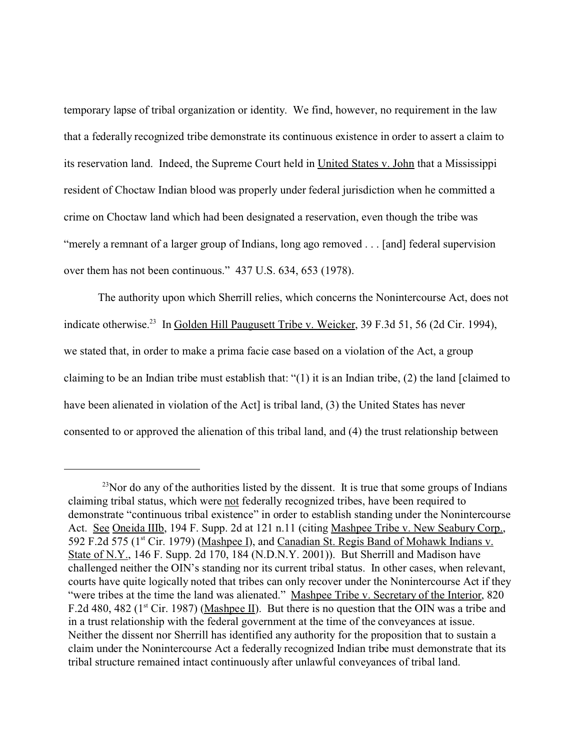temporary lapse of tribal organization or identity. We find, however, no requirement in the law that a federally recognized tribe demonstrate its continuous existence in order to assert a claim to its reservation land. Indeed, the Supreme Court held in United States v. John that a Mississippi resident of Choctaw Indian blood was properly under federal jurisdiction when he committed a crime on Choctaw land which had been designated a reservation, even though the tribe was "merely a remnant of a larger group of Indians, long ago removed . . . [and] federal supervision over them has not been continuous." 437 U.S. 634, 653 (1978).

The authority upon which Sherrill relies, which concerns the Nonintercourse Act, does not indicate otherwise.<sup>23</sup> In Golden Hill Paugusett Tribe v. Weicker, 39 F.3d 51, 56 (2d Cir. 1994), we stated that, in order to make a prima facie case based on a violation of the Act, a group claiming to be an Indian tribe must establish that: "(1) it is an Indian tribe, (2) the land [claimed to have been alienated in violation of the Act] is tribal land, (3) the United States has never consented to or approved the alienation of this tribal land, and (4) the trust relationship between

 $^{23}$ Nor do any of the authorities listed by the dissent. It is true that some groups of Indians claiming tribal status, which were not federally recognized tribes, have been required to demonstrate "continuous tribal existence" in order to establish standing under the Nonintercourse Act. See Oneida IIIb, 194 F. Supp. 2d at 121 n.11 (citing Mashpee Tribe v. New Seabury Corp., 592 F.2d 575 (1<sup>st</sup> Cir. 1979) (Mashpee I), and Canadian St. Regis Band of Mohawk Indians v. State of N.Y., 146 F. Supp. 2d 170, 184 (N.D.N.Y. 2001)). But Sherrill and Madison have challenged neither the OIN's standing nor its current tribal status. In other cases, when relevant, courts have quite logically noted that tribes can only recover under the Nonintercourse Act if they "were tribes at the time the land was alienated." Mashpee Tribe v. Secretary of the Interior, 820 F.2d 480, 482 ( $1<sup>st</sup>$  Cir. 1987) (Mashpee II). But there is no question that the OIN was a tribe and in a trust relationship with the federal government at the time of the conveyances at issue. Neither the dissent nor Sherrill has identified any authority for the proposition that to sustain a claim under the Nonintercourse Act a federally recognized Indian tribe must demonstrate that its tribal structure remained intact continuously after unlawful conveyances of tribal land.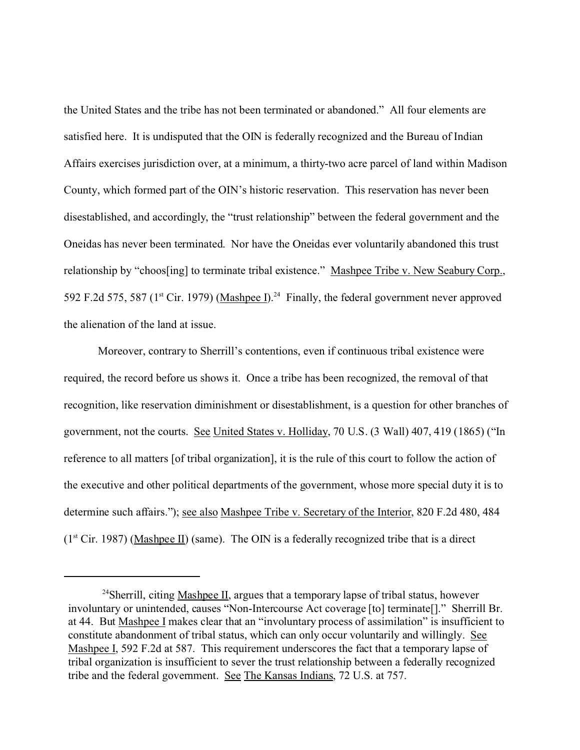the United States and the tribe has not been terminated or abandoned." All four elements are satisfied here. It is undisputed that the OIN is federally recognized and the Bureau of Indian Affairs exercises jurisdiction over, at a minimum, a thirty-two acre parcel of land within Madison County, which formed part of the OIN's historic reservation. This reservation has never been disestablished, and accordingly, the "trust relationship" between the federal government and the Oneidas has never been terminated. Nor have the Oneidas ever voluntarily abandoned this trust relationship by "choos[ing] to terminate tribal existence." Mashpee Tribe v. New Seabury Corp., 592 F.2d 575, 587 ( $1<sup>st</sup>$  Cir. 1979) (Mashpee I).<sup>24</sup> Finally, the federal government never approved the alienation of the land at issue.

Moreover, contrary to Sherrill's contentions, even if continuous tribal existence were required, the record before us shows it. Once a tribe has been recognized, the removal of that recognition, like reservation diminishment or disestablishment, is a question for other branches of government, not the courts. See United States v. Holliday, 70 U.S. (3 Wall) 407, 419 (1865) ("In reference to all matters [of tribal organization], it is the rule of this court to follow the action of the executive and other political departments of the government, whose more special duty it is to determine such affairs."); see also Mashpee Tribe v. Secretary of the Interior, 820 F.2d 480, 484  $(1<sup>st</sup> Cir. 1987)$  (Mashpee II) (same). The OIN is a federally recognized tribe that is a direct

<sup>&</sup>lt;sup>24</sup>Sherrill, citing Mashpee II, argues that a temporary lapse of tribal status, however involuntary or unintended, causes "Non-Intercourse Act coverage [to] terminate[]." Sherrill Br. at 44. But Mashpee I makes clear that an "involuntary process of assimilation" is insufficient to constitute abandonment of tribal status, which can only occur voluntarily and willingly. See Mashpee I, 592 F.2d at 587. This requirement underscores the fact that a temporary lapse of tribal organization is insufficient to sever the trust relationship between a federally recognized tribe and the federal government. See The Kansas Indians, 72 U.S. at 757.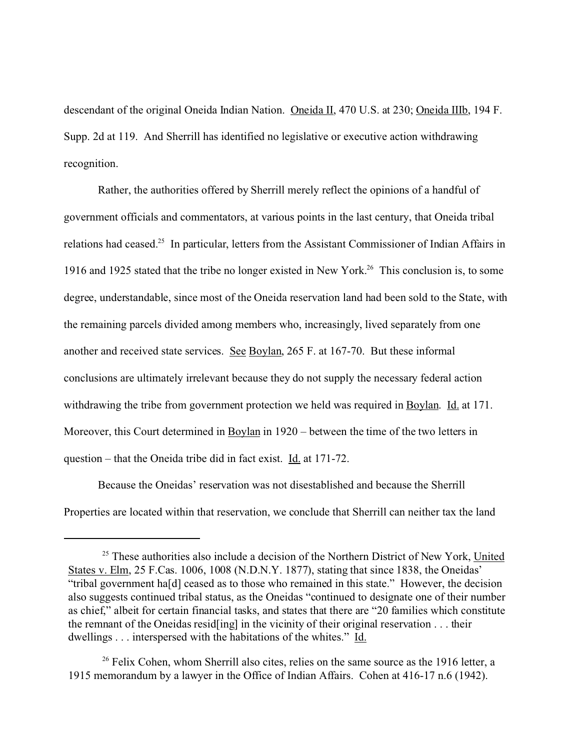descendant of the original Oneida Indian Nation. Oneida II, 470 U.S. at 230; Oneida IIIb, 194 F. Supp. 2d at 119. And Sherrill has identified no legislative or executive action withdrawing recognition.

Rather, the authorities offered by Sherrill merely reflect the opinions of a handful of government officials and commentators, at various points in the last century, that Oneida tribal relations had ceased.<sup>25</sup> In particular, letters from the Assistant Commissioner of Indian Affairs in 1916 and 1925 stated that the tribe no longer existed in New York.<sup>26</sup> This conclusion is, to some degree, understandable, since most of the Oneida reservation land had been sold to the State, with the remaining parcels divided among members who, increasingly, lived separately from one another and received state services. See Boylan, 265 F. at 167-70. But these informal conclusions are ultimately irrelevant because they do not supply the necessary federal action withdrawing the tribe from government protection we held was required in Boylan. Id. at 171. Moreover, this Court determined in Boylan in 1920 – between the time of the two letters in question – that the Oneida tribe did in fact exist. Id. at 171-72.

Because the Oneidas' reservation was not disestablished and because the Sherrill Properties are located within that reservation, we conclude that Sherrill can neither tax the land

 $25$  These authorities also include a decision of the Northern District of New York, United States v. Elm, 25 F.Cas. 1006, 1008 (N.D.N.Y. 1877), stating that since 1838, the Oneidas' "tribal government ha[d] ceased as to those who remained in this state." However, the decision also suggests continued tribal status, as the Oneidas "continued to designate one of their number as chief," albeit for certain financial tasks, and states that there are "20 families which constitute the remnant of the Oneidas resid[ing] in the vicinity of their original reservation . . . their dwellings . . . interspersed with the habitations of the whites." Id.

 $26$  Felix Cohen, whom Sherrill also cites, relies on the same source as the 1916 letter, a 1915 memorandum by a lawyer in the Office of Indian Affairs. Cohen at 416-17 n.6 (1942).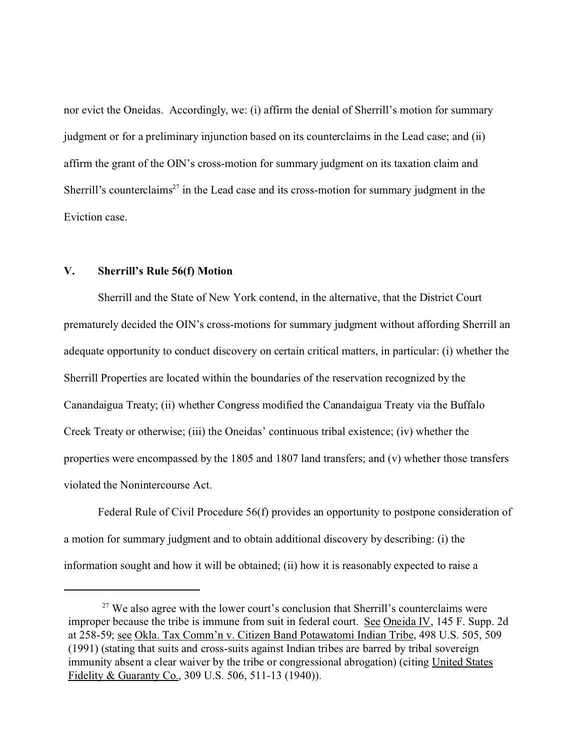nor evict the Oneidas. Accordingly, we: (i) affirm the denial of Sherrill's motion for summary judgment or for a preliminary injunction based on its counterclaims in the Lead case; and (ii) affirm the grant of the OIN's cross-motion for summary judgment on its taxation claim and Sherrill's counterclaims<sup>27</sup> in the Lead case and its cross-motion for summary judgment in the Eviction case.

# **V. Sherrill's Rule 56(f) Motion**

Sherrill and the State of New York contend, in the alternative, that the District Court prematurely decided the OIN's cross-motions for summary judgment without affording Sherrill an adequate opportunity to conduct discovery on certain critical matters, in particular: (i) whether the Sherrill Properties are located within the boundaries of the reservation recognized by the Canandaigua Treaty; (ii) whether Congress modified the Canandaigua Treaty via the Buffalo Creek Treaty or otherwise; (iii) the Oneidas' continuous tribal existence; (iv) whether the properties were encompassed by the 1805 and 1807 land transfers; and (v) whether those transfers violated the Nonintercourse Act.

Federal Rule of Civil Procedure 56(f) provides an opportunity to postpone consideration of a motion for summary judgment and to obtain additional discovery by describing: (i) the information sought and how it will be obtained; (ii) how it is reasonably expected to raise a

 $27$  We also agree with the lower court's conclusion that Sherrill's counterclaims were improper because the tribe is immune from suit in federal court. See Oneida IV, 145 F. Supp. 2d at 258-59; see Okla. Tax Comm'n v. Citizen Band Potawatomi Indian Tribe, 498 U.S. 505, 509 (1991) (stating that suits and cross-suits against Indian tribes are barred by tribal sovereign immunity absent a clear waiver by the tribe or congressional abrogation) (citing United States Fidelity & Guaranty Co., 309 U.S. 506, 511-13 (1940)).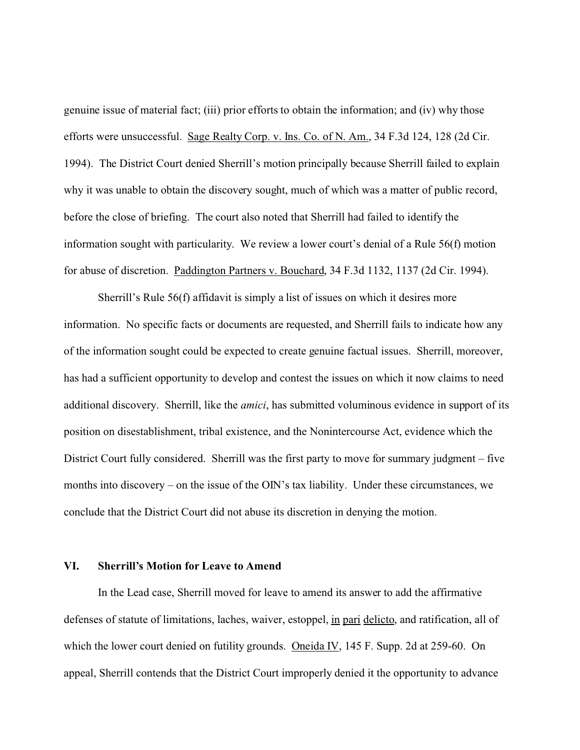genuine issue of material fact; (iii) prior efforts to obtain the information; and (iv) why those efforts were unsuccessful. Sage Realty Corp. v. Ins. Co. of N. Am., 34 F.3d 124, 128 (2d Cir. 1994). The District Court denied Sherrill's motion principally because Sherrill failed to explain why it was unable to obtain the discovery sought, much of which was a matter of public record, before the close of briefing. The court also noted that Sherrill had failed to identify the information sought with particularity. We review a lower court's denial of a Rule 56(f) motion for abuse of discretion. Paddington Partners v. Bouchard, 34 F.3d 1132, 1137 (2d Cir. 1994).

Sherrill's Rule 56(f) affidavit is simply a list of issues on which it desires more information. No specific facts or documents are requested, and Sherrill fails to indicate how any of the information sought could be expected to create genuine factual issues. Sherrill, moreover, has had a sufficient opportunity to develop and contest the issues on which it now claims to need additional discovery. Sherrill, like the *amici*, has submitted voluminous evidence in support of its position on disestablishment, tribal existence, and the Nonintercourse Act, evidence which the District Court fully considered. Sherrill was the first party to move for summary judgment – five months into discovery – on the issue of the OIN's tax liability. Under these circumstances, we conclude that the District Court did not abuse its discretion in denying the motion.

#### **VI. Sherrill's Motion for Leave to Amend**

In the Lead case, Sherrill moved for leave to amend its answer to add the affirmative defenses of statute of limitations, laches, waiver, estoppel, in pari delicto, and ratification, all of which the lower court denied on futility grounds. Oneida IV, 145 F. Supp. 2d at 259-60. On appeal, Sherrill contends that the District Court improperly denied it the opportunity to advance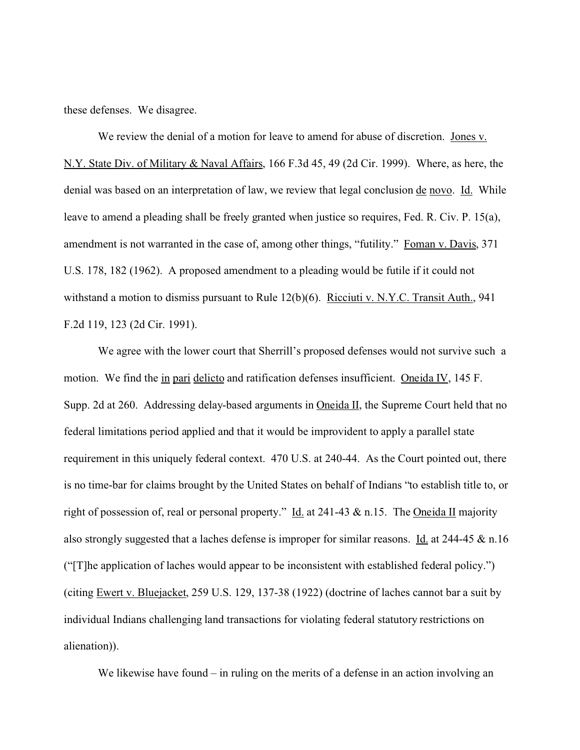these defenses. We disagree.

We review the denial of a motion for leave to amend for abuse of discretion. Jones v. N.Y. State Div. of Military & Naval Affairs, 166 F.3d 45, 49 (2d Cir. 1999). Where, as here, the denial was based on an interpretation of law, we review that legal conclusion <u>de novo. Id.</u> While leave to amend a pleading shall be freely granted when justice so requires, Fed. R. Civ. P. 15(a), amendment is not warranted in the case of, among other things, "futility." Foman v. Davis, 371 U.S. 178, 182 (1962). A proposed amendment to a pleading would be futile if it could not withstand a motion to dismiss pursuant to Rule 12(b)(6). Ricciuti v. N.Y.C. Transit Auth., 941 F.2d 119, 123 (2d Cir. 1991).

We agree with the lower court that Sherrill's proposed defenses would not survive such a motion. We find the in pari delicto and ratification defenses insufficient. Oneida IV, 145 F. Supp. 2d at 260. Addressing delay-based arguments in  $\overline{\text{Oneida II}}$ , the Supreme Court held that no federal limitations period applied and that it would be improvident to apply a parallel state requirement in this uniquely federal context. 470 U.S. at 240-44. As the Court pointed out, there is no time-bar for claims brought by the United States on behalf of Indians "to establish title to, or right of possession of, real or personal property." Id. at 241-43  $\&$  n.15. The Oneida II majority also strongly suggested that a laches defense is improper for similar reasons. Id. at  $244-45 \& n.16$ ("[T]he application of laches would appear to be inconsistent with established federal policy.") (citing  $\frac{Event v. Blue;iacket, 259 U.S. 129, 137-38 (1922)$  (doctrine of laches cannot bar a suit by individual Indians challenging land transactions for violating federal statutory restrictions on alienation)).

We likewise have found – in ruling on the merits of a defense in an action involving an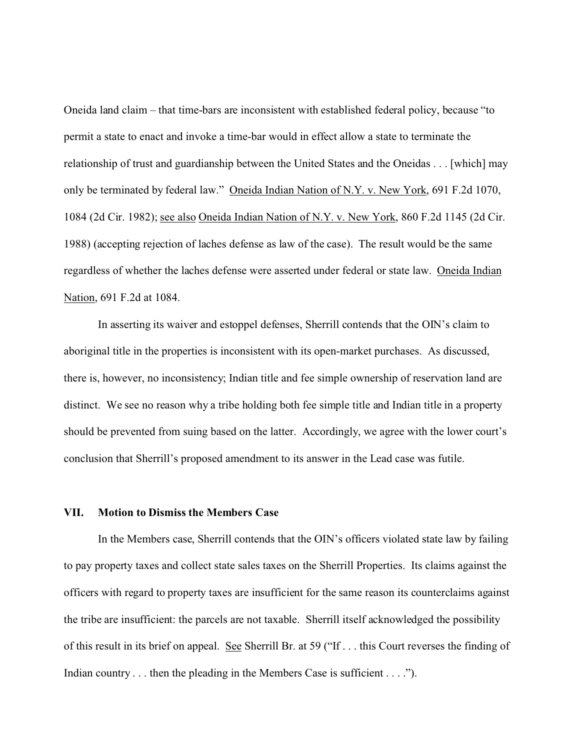Oneida land claim – that time-bars are inconsistent with established federal policy, because "to permit a state to enact and invoke a time-bar would in effect allow a state to terminate the relationship of trust and guardianship between the United States and the Oneidas . . . [which] may only be terminated by federal law." Oneida Indian Nation of N.Y. v. New York, 691 F.2d 1070, 1084 (2d Cir. 1982); see also Oneida Indian Nation of N.Y. v. New York, 860 F.2d 1145 (2d Cir. 1988) (accepting rejection of laches defense as law of the case). The result would be the same regardless of whether the laches defense were asserted under federal or state law. Oneida Indian Nation, 691 F.2d at 1084.

In asserting its waiver and estoppel defenses, Sherrill contends that the OIN's claim to aboriginal title in the properties is inconsistent with its open-market purchases. As discussed, there is, however, no inconsistency; Indian title and fee simple ownership of reservation land are distinct. We see no reason why a tribe holding both fee simple title and Indian title in a property should be prevented from suing based on the latter. Accordingly, we agree with the lower court's conclusion that Sherrill's proposed amendment to its answer in the Lead case was futile.

## **VII. Motion to Dismiss the Members Case**

In the Members case, Sherrill contends that the OIN's officers violated state law by failing to pay property taxes and collect state sales taxes on the Sherrill Properties. Its claims against the officers with regard to property taxes are insufficient for the same reason its counterclaims against the tribe are insufficient: the parcels are not taxable. Sherrill itself acknowledged the possibility of this result in its brief on appeal. See Sherrill Br. at 59 ("If . . . this Court reverses the finding of Indian country . . . then the pleading in the Members Case is sufficient . . . .").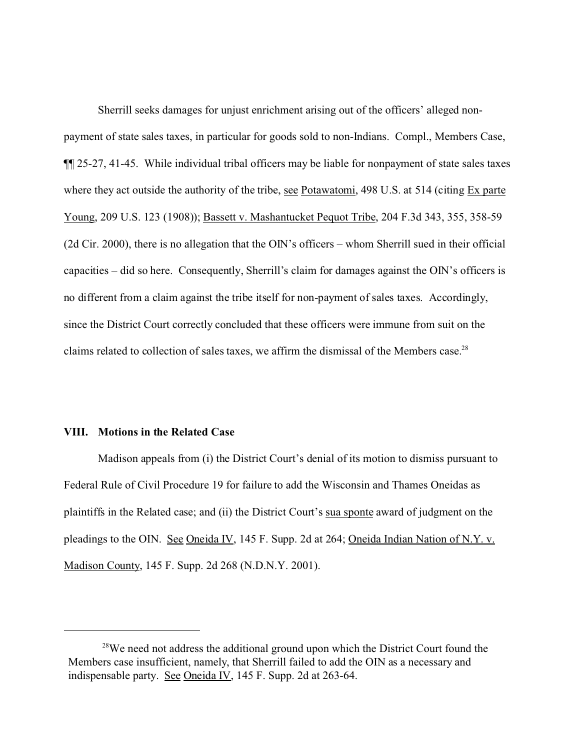Sherrill seeks damages for unjust enrichment arising out of the officers' alleged nonpayment of state sales taxes, in particular for goods sold to non-Indians. Compl., Members Case, ¶¶ 25-27, 41-45. While individual tribal officers may be liable for nonpayment of state sales taxes where they act outside the authority of the tribe, see Potawatomi, 498 U.S. at 514 (citing Ex parte Young, 209 U.S. 123 (1908)); Bassett v. Mashantucket Pequot Tribe, 204 F.3d 343, 355, 358-59 (2d Cir. 2000), there is no allegation that the OIN's officers – whom Sherrill sued in their official capacities – did so here. Consequently, Sherrill's claim for damages against the OIN's officers is no different from a claim against the tribe itself for non-payment of sales taxes. Accordingly, since the District Court correctly concluded that these officers were immune from suit on the claims related to collection of sales taxes, we affirm the dismissal of the Members case.<sup>28</sup>

#### **VIII. Motions in the Related Case**

Madison appeals from (i) the District Court's denial of its motion to dismiss pursuant to Federal Rule of Civil Procedure 19 for failure to add the Wisconsin and Thames Oneidas as plaintiffs in the Related case; and (ii) the District Court's sua sponte award of judgment on the pleadings to the OIN. See Oneida IV, 145 F. Supp. 2d at 264; Oneida Indian Nation of N.Y. v. Madison County, 145 F. Supp. 2d 268 (N.D.N.Y. 2001).

 $28$ We need not address the additional ground upon which the District Court found the Members case insufficient, namely, that Sherrill failed to add the OIN as a necessary and indispensable party. See Oneida IV, 145 F. Supp. 2d at 263-64.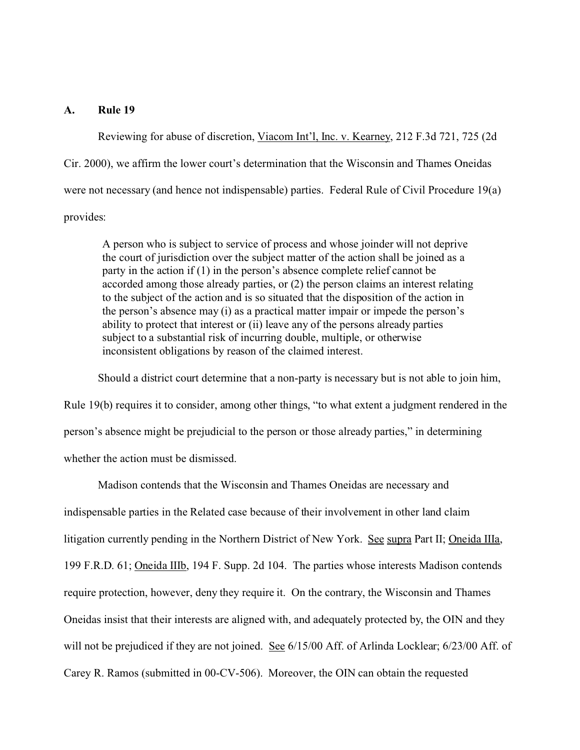## **A. Rule 19**

Reviewing for abuse of discretion, Viacom Int'l, Inc. v. Kearney, 212 F.3d 721, 725 (2d Cir. 2000), we affirm the lower court's determination that the Wisconsin and Thames Oneidas were not necessary (and hence not indispensable) parties. Federal Rule of Civil Procedure 19(a) provides:

A person who is subject to service of process and whose joinder will not deprive the court of jurisdiction over the subject matter of the action shall be joined as a party in the action if (1) in the person's absence complete relief cannot be accorded among those already parties, or (2) the person claims an interest relating to the subject of the action and is so situated that the disposition of the action in the person's absence may (i) as a practical matter impair or impede the person's ability to protect that interest or (ii) leave any of the persons already parties subject to a substantial risk of incurring double, multiple, or otherwise inconsistent obligations by reason of the claimed interest.

Should a district court determine that a non-party is necessary but is not able to join him,

Rule 19(b) requires it to consider, among other things, "to what extent a judgment rendered in the person's absence might be prejudicial to the person or those already parties," in determining whether the action must be dismissed.

Madison contends that the Wisconsin and Thames Oneidas are necessary and indispensable parties in the Related case because of their involvement in other land claim litigation currently pending in the Northern District of New York. See supra Part II; Oneida IIIa, 199 F.R.D. 61; Oneida IIIb, 194 F. Supp. 2d 104. The parties whose interests Madison contends require protection, however, deny they require it. On the contrary, the Wisconsin and Thames Oneidas insist that their interests are aligned with, and adequately protected by, the OIN and they will not be prejudiced if they are not joined. See 6/15/00 Aff. of Arlinda Locklear; 6/23/00 Aff. of Carey R. Ramos (submitted in 00-CV-506). Moreover, the OIN can obtain the requested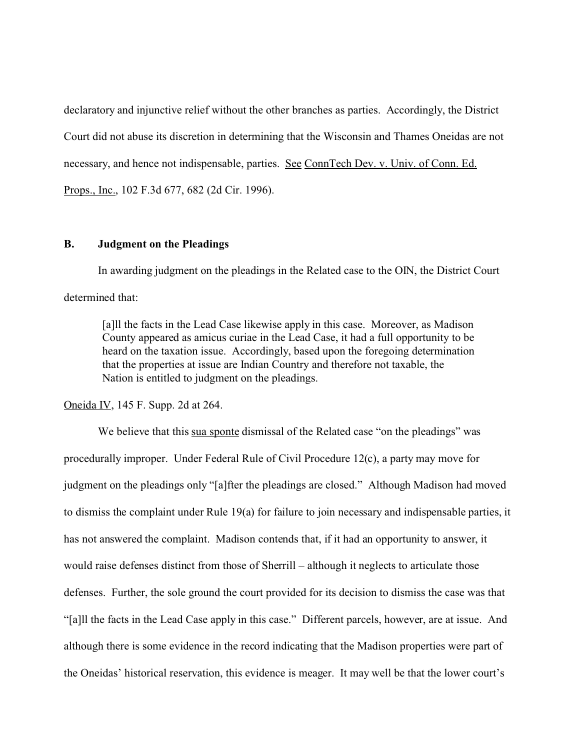declaratory and injunctive relief without the other branches as parties. Accordingly, the District Court did not abuse its discretion in determining that the Wisconsin and Thames Oneidas are not necessary, and hence not indispensable, parties. See ConnTech Dev. v. Univ. of Conn. Ed. Props., Inc., 102 F.3d 677, 682 (2d Cir. 1996).

#### **B. Judgment on the Pleadings**

In awarding judgment on the pleadings in the Related case to the OIN, the District Court determined that:

[a]ll the facts in the Lead Case likewise apply in this case. Moreover, as Madison County appeared as amicus curiae in the Lead Case, it had a full opportunity to be heard on the taxation issue. Accordingly, based upon the foregoing determination that the properties at issue are Indian Country and therefore not taxable, the Nation is entitled to judgment on the pleadings.

Oneida IV, 145 F. Supp. 2d at 264.

We believe that this sua sponte dismissal of the Related case "on the pleadings" was procedurally improper. Under Federal Rule of Civil Procedure 12(c), a party may move for judgment on the pleadings only "[a]fter the pleadings are closed." Although Madison had moved to dismiss the complaint under Rule 19(a) for failure to join necessary and indispensable parties, it has not answered the complaint. Madison contends that, if it had an opportunity to answer, it would raise defenses distinct from those of Sherrill – although it neglects to articulate those defenses. Further, the sole ground the court provided for its decision to dismiss the case was that "[a]ll the facts in the Lead Case apply in this case." Different parcels, however, are at issue. And although there is some evidence in the record indicating that the Madison properties were part of the Oneidas' historical reservation, this evidence is meager. It may well be that the lower court's